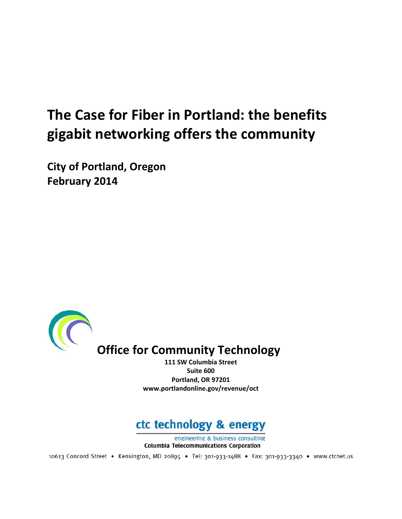# **The Case for Fiber in Portland: the benefits gigabit networking offers the community**

**City of Portland, Oregon February 2014**



**111 SW Columbia Street Suite 600 Portland, OR 97201 www.portlandonline.gov/revenue/oct**

## ctc technology & energy

engineering & business consulting **Columbia Telecommunications Corporation** 

10613 Concord Street • Kensington, MD 20895 • Tel: 301-933-1488 • Fax: 301-933-3340 • www.ctcnet.us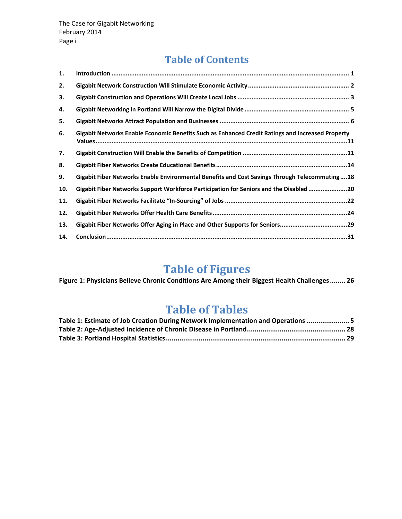### **Table of Contents**

| 1.  |                                                                                                  |
|-----|--------------------------------------------------------------------------------------------------|
| 2.  |                                                                                                  |
| 3.  |                                                                                                  |
| 4.  |                                                                                                  |
| 5.  |                                                                                                  |
| 6.  | Gigabit Networks Enable Economic Benefits Such as Enhanced Credit Ratings and Increased Property |
| 7.  |                                                                                                  |
| 8.  |                                                                                                  |
| 9.  | Gigabit Fiber Networks Enable Environmental Benefits and Cost Savings Through Telecommuting18    |
| 10. | Gigabit Fiber Networks Support Workforce Participation for Seniors and the Disabled20            |
| 11. |                                                                                                  |
| 12. |                                                                                                  |
| 13. | Gigabit Fiber Networks Offer Aging in Place and Other Supports for Seniors29                     |
| 14. |                                                                                                  |

### **Table of Figures**

**Figure 1: Physicians Believe Chronic Conditions Are Among their Biggest Health Challenges........ 26**

### **Table of Tables**

| Table 1: Estimate of Job Creation During Network Implementation and Operations  5 |  |
|-----------------------------------------------------------------------------------|--|
|                                                                                   |  |
|                                                                                   |  |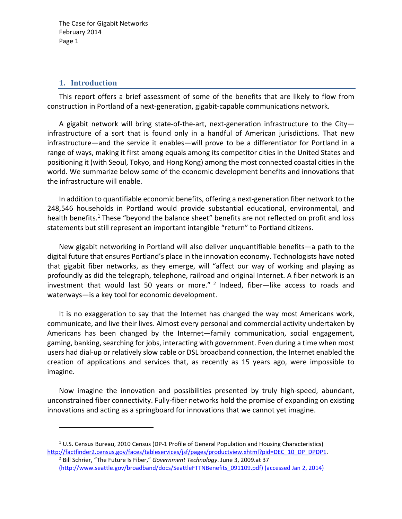#### **1. Introduction**

This report offers a brief assessment of some of the benefits that are likely to flow from construction in Portland of a next‐generation, gigabit‐capable communications network.

A gigabit network will bring state‐of‐the‐art, next‐generation infrastructure to the City infrastructure of a sort that is found only in a handful of American jurisdictions. That new infrastructure—and the service it enables—will prove to be a differentiator for Portland in a range of ways, making it first among equals among its competitor cities in the United States and positioning it (with Seoul, Tokyo, and Hong Kong) among the most connected coastal cities in the world. We summarize below some of the economic development benefits and innovations that the infrastructure will enable.

In addition to quantifiable economic benefits, offering a next‐generation fiber network to the 248,546 households in Portland would provide substantial educational, environmental, and health benefits.<sup>1</sup> These "beyond the balance sheet" benefits are not reflected on profit and loss statements but still represent an important intangible "return" to Portland citizens.

New gigabit networking in Portland will also deliver unquantifiable benefits—a path to the digital future that ensures Portland's place in the innovation economy. Technologists have noted that gigabit fiber networks, as they emerge, will "affect our way of working and playing as profoundly as did the telegraph, telephone, railroad and original Internet. A fiber network is an investment that would last 50 years or more."  $2$  Indeed, fiber-like access to roads and waterways—is a key tool for economic development.

It is no exaggeration to say that the Internet has changed the way most Americans work, communicate, and live their lives. Almost every personal and commercial activity undertaken by Americans has been changed by the Internet—family communication, social engagement, gaming, banking, searching for jobs, interacting with government. Even during a time when most users had dial‐up or relatively slow cable or DSL broadband connection, the Internet enabled the creation of applications and services that, as recently as 15 years ago, were impossible to imagine.

Now imagine the innovation and possibilities presented by truly high‐speed, abundant, unconstrained fiber connectivity. Fully‐fiber networks hold the promise of expanding on existing innovations and acting as a springboard for innovations that we cannot yet imagine.

 $1$  U.S. Census Bureau, 2010 Census (DP-1 Profile of General Population and Housing Characteristics) http://factfinder2.census.gov/faces/tableservices/jsf/pages/productview.xhtml?pid=DEC\_10\_DP\_DPDP1.

<sup>2</sup> Bill Schrier, "The Future Is Fiber," *Government Technology*. June 3, 2009.at 37 (http://www.seattle.gov/broadband/docs/SeattleFTTNBenefits\_091109.pdf) (accessed Jan 2, 2014)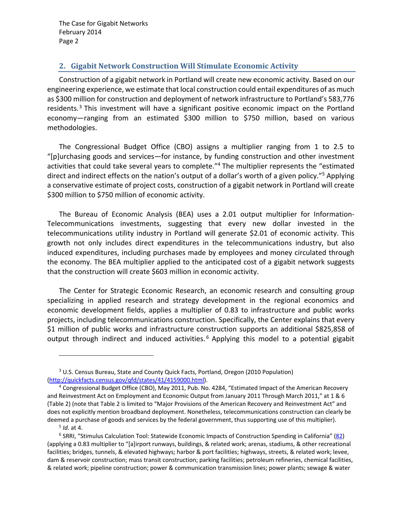#### **2. Gigabit Network Construction Will Stimulate Economic Activity**

Construction of a gigabit network in Portland will create new economic activity. Based on our engineering experience, we estimate that local construction could entail expenditures of as much as \$300 million for construction and deployment of network infrastructure to Portland's 583,776 residents.<sup>3</sup> This investment will have a significant positive economic impact on the Portland economy—ranging from an estimated \$300 million to \$750 million, based on various methodologies.

The Congressional Budget Office (CBO) assigns a multiplier ranging from 1 to 2.5 to "[p]urchasing goods and services—for instance, by funding construction and other investment activities that could take several years to complete."<sup>4</sup> The multiplier represents the "estimated direct and indirect effects on the nation's output of a dollar's worth of a given policy."5 Applying a conservative estimate of project costs, construction of a gigabit network in Portland will create \$300 million to \$750 million of economic activity.

The Bureau of Economic Analysis (BEA) uses a 2.01 output multiplier for Information‐ Telecommunications investments, suggesting that every new dollar invested in the telecommunications utility industry in Portland will generate \$2.01 of economic activity. This growth not only includes direct expenditures in the telecommunications industry, but also induced expenditures, including purchases made by employees and money circulated through the economy. The BEA multiplier applied to the anticipated cost of a gigabit network suggests that the construction will create \$603 million in economic activity.

The Center for Strategic Economic Research, an economic research and consulting group specializing in applied research and strategy development in the regional economics and economic development fields, applies a multiplier of 0.83 to infrastructure and public works projects, including telecommunications construction. Specifically, the Center explains that every \$1 million of public works and infrastructure construction supports an additional \$825,858 of output through indirect and induced activities.<sup>6</sup> Applying this model to a potential gigabit

<sup>3</sup> U.S. Census Bureau, State and County Quick Facts, Portland, Oregon (2010 Population) (http://quickfacts.census.gov/qfd/states/41/4159000.html).

<sup>4</sup> Congressional Budget Office (CBO), May 2011, Pub. No. 4284, "Estimated Impact of the American Recovery and Reinvestment Act on Employment and Economic Output from January 2011 Through March 2011," at 1 & 6 (Table 2) (note that Table 2 is limited to "Major Provisions of the American Recovery and Reinvestment Act" and does not explicitly mention broadband deployment. Nonetheless, telecommunications construction can clearly be deemed a purchase of goods and services by the federal government, thus supporting use of this multiplier).

<sup>5</sup> *Id.* at 4.

<sup>&</sup>lt;sup>6</sup> SRRI, "Stimulus Calculation Tool: Statewide Economic Impacts of Construction Spending in California" (82) (applying a 0.83 multiplier to "[a]irport runways, buildings, & related work; arenas, stadiums, & other recreational facilities; bridges, tunnels, & elevated highways; harbor & port facilities; highways, streets, & related work; levee, dam & reservoir construction; mass transit construction; parking facilities; petroleum refineries, chemical facilities, & related work; pipeline construction; power & communication transmission lines; power plants; sewage & water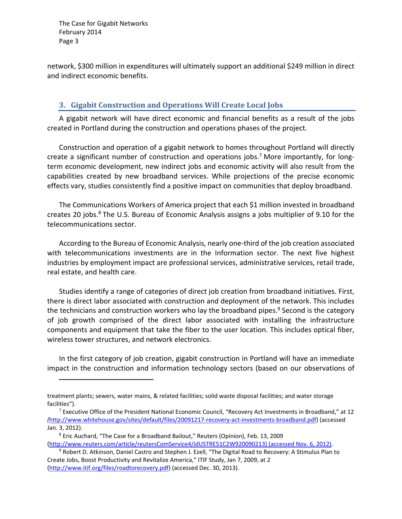network, \$300 million in expenditures will ultimately support an additional \$249 million in direct and indirect economic benefits.

#### **3. Gigabit Construction and Operations Will Create Local Jobs**

A gigabit network will have direct economic and financial benefits as a result of the jobs created in Portland during the construction and operations phases of the project.

Construction and operation of a gigabit network to homes throughout Portland will directly create a significant number of construction and operations jobs.<sup>7</sup> More importantly, for longterm economic development, new indirect jobs and economic activity will also result from the capabilities created by new broadband services. While projections of the precise economic effects vary, studies consistently find a positive impact on communities that deploy broadband.

The Communications Workers of America project that each \$1 million invested in broadband creates 20 jobs.<sup>8</sup> The U.S. Bureau of Economic Analysis assigns a jobs multiplier of 9.10 for the telecommunications sector.

According to the Bureau of Economic Analysis, nearly one‐third of the job creation associated with telecommunications investments are in the Information sector. The next five highest industries by employment impact are professional services, administrative services, retail trade, real estate, and health care.

Studies identify a range of categories of direct job creation from broadband initiatives. First, there is direct labor associated with construction and deployment of the network. This includes the technicians and construction workers who lay the broadband pipes.<sup>9</sup> Second is the category of job growth comprised of the direct labor associated with installing the infrastructure components and equipment that take the fiber to the user location. This includes optical fiber, wireless tower structures, and network electronics.

In the first category of job creation, gigabit construction in Portland will have an immediate impact in the construction and information technology sectors (based on our observations of

treatment plants; sewers, water mains, & related facilities; solid waste disposal facilities; and water storage facilities").

<sup>&</sup>lt;sup>7</sup> Executive Office of the President National Economic Council, "Recovery Act Investments in Broadband," at 12 *(*http://www.whitehouse.gov/sites/default/files/20091217‐recovery‐act‐investments‐broadband.pdf) (accessed Jan. 3, 2012).

<sup>8</sup> Eric Auchard, "The Case for a Broadband Bailout," Reuters (Opinion), Feb. 13, 2009 (http://www.reuters.com/article/reutersComService4/idUSTRE51C2W920090213) (accessed Nov. 6, 2012).

<sup>&</sup>lt;sup>9</sup> Robert D. Atkinson, Daniel Castro and Stephen J. Ezell, "The Digital Road to Recovery: A Stimulus Plan to Create Jobs, Boost Productivity and Revitalize America," ITIF Study, Jan 7, 2009, at 2 (http://www.itif.org/files/roadtorecovery.pdf) (accessed Dec. 30, 2013).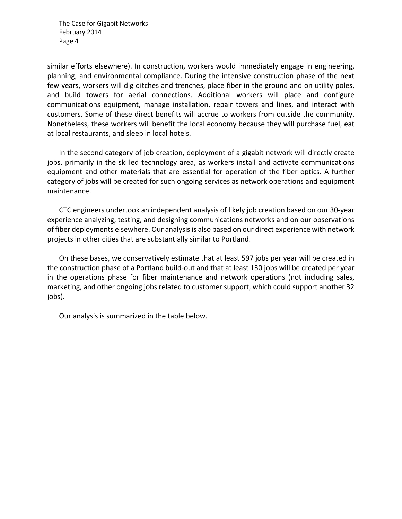similar efforts elsewhere). In construction, workers would immediately engage in engineering, planning, and environmental compliance. During the intensive construction phase of the next few years, workers will dig ditches and trenches, place fiber in the ground and on utility poles, and build towers for aerial connections. Additional workers will place and configure communications equipment, manage installation, repair towers and lines, and interact with customers. Some of these direct benefits will accrue to workers from outside the community. Nonetheless, these workers will benefit the local economy because they will purchase fuel, eat at local restaurants, and sleep in local hotels.

In the second category of job creation, deployment of a gigabit network will directly create jobs, primarily in the skilled technology area, as workers install and activate communications equipment and other materials that are essential for operation of the fiber optics. A further category of jobs will be created for such ongoing services as network operations and equipment maintenance.

CTC engineers undertook an independent analysis of likely job creation based on our 30‐year experience analyzing, testing, and designing communications networks and on our observations of fiber deployments elsewhere. Our analysisis also based on our direct experience with network projects in other cities that are substantially similar to Portland.

On these bases, we conservatively estimate that at least 597 jobs per year will be created in the construction phase of a Portland build‐out and that at least 130 jobs will be created per year in the operations phase for fiber maintenance and network operations (not including sales, marketing, and other ongoing jobs related to customer support, which could support another 32 jobs).

Our analysis is summarized in the table below.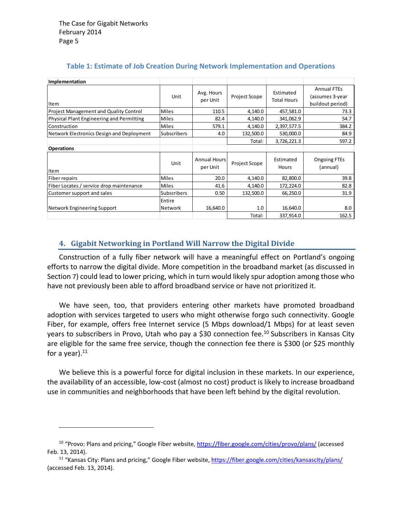| Implementation                                |                    |                          |                      |                                 |                                                           |
|-----------------------------------------------|--------------------|--------------------------|----------------------|---------------------------------|-----------------------------------------------------------|
| Item                                          | Unit               | Avg. Hours<br>per Unit   | Project Scope        | Estimated<br><b>Total Hours</b> | <b>Annual FTEs</b><br>(assumes 3-year<br>buildout period) |
| <b>Project Management and Quality Control</b> | <b>Miles</b>       | 110.5                    | 4,140.0              | 457,581.0                       | 73.3                                                      |
| Physical Plant Engineering and Permitting     | <b>Miles</b>       | 82.4                     | 4,140.0              | 341,062.9                       | 54.7                                                      |
| Construction                                  | <b>Miles</b>       | 579.1                    | 4,140.0              | 2,397,577.5                     | 384.2                                                     |
| Network Electronics Design and Deployment     | <b>Subscribers</b> | 4.0                      | 132,500.0            | 530,000.0                       | 84.9                                                      |
|                                               |                    |                          | Total:               | 3,726,221.3                     | 597.2                                                     |
| <b>Operations</b>                             |                    |                          |                      |                                 |                                                           |
| Item                                          | Unit               | Annual Hours<br>per Unit | <b>Project Scope</b> | Estimated<br>Hours              | Ongoing FTEs<br>(annual)                                  |
| Fiber repairs                                 | <b>Miles</b>       | 20.0                     | 4,140.0              | 82,800.0                        | 39.8                                                      |
| Fiber Locates / service drop maintenance      | <b>Miles</b>       | 41.6                     | 4,140.0              | 172,224.0                       | 82.8                                                      |
| Customer support and sales                    | Subscribers        | 0.50                     | 132,500.0            | 66,250.0                        | 31.9                                                      |
| Network Engineering Support                   | Entire<br>Network  | 16,640.0                 | 1.0                  | 16,640.0                        | 8.0                                                       |
|                                               |                    |                          | Total:               | 337,914.0                       | 162.5                                                     |

#### **Table 1: Estimate of Job Creation During Network Implementation and Operations**

#### **4. Gigabit Networking in Portland Will Narrow the Digital Divide**

Construction of a fully fiber network will have a meaningful effect on Portland's ongoing efforts to narrow the digital divide. More competition in the broadband market (as discussed in Section 7) could lead to lower pricing, which in turn would likely spur adoption among those who have not previously been able to afford broadband service or have not prioritized it.

We have seen, too, that providers entering other markets have promoted broadband adoption with services targeted to users who might otherwise forgo such connectivity. Google Fiber, for example, offers free Internet service (5 Mbps download/1 Mbps) for at least seven years to subscribers in Provo, Utah who pay a \$30 connection fee.<sup>10</sup> Subscribers in Kansas City are eligible for the same free service, though the connection fee there is \$300 (or \$25 monthly for a year). $11$ 

We believe this is a powerful force for digital inclusion in these markets. In our experience, the availability of an accessible, low‐cost (almost no cost) product is likely to increase broadband use in communities and neighborhoods that have been left behind by the digital revolution.

<sup>&</sup>lt;sup>10</sup> "Provo: Plans and pricing," Google Fiber website, https://fiber.google.com/cities/provo/plans/ (accessed Feb. 13, 2014).

<sup>&</sup>lt;sup>11</sup> "Kansas City: Plans and pricing," Google Fiber website, https://fiber.google.com/cities/kansascity/plans/ (accessed Feb. 13, 2014).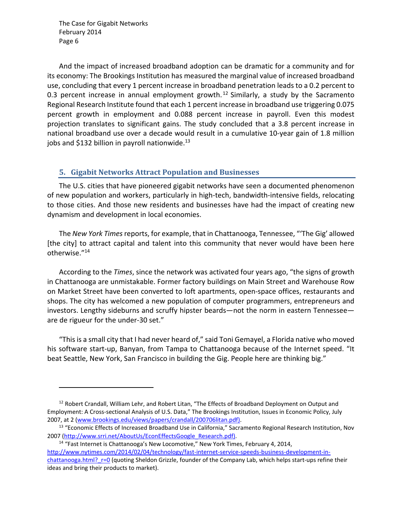And the impact of increased broadband adoption can be dramatic for a community and for its economy: The Brookings Institution has measured the marginal value of increased broadband use, concluding that every 1 percent increase in broadband penetration leads to a 0.2 percent to 0.3 percent increase in annual employment growth.<sup>12</sup> Similarly, a study by the Sacramento Regional Research Institute found that each 1 percent increase in broadband use triggering 0.075 percent growth in employment and 0.088 percent increase in payroll. Even this modest projection translates to significant gains. The study concluded that a 3.8 percent increase in national broadband use over a decade would result in a cumulative 10‐year gain of 1.8 million jobs and \$132 billion in payroll nationwide.<sup>13</sup>

#### **5. Gigabit Networks Attract Population and Businesses**

The U.S. cities that have pioneered gigabit networks have seen a documented phenomenon of new population and workers, particularly in high‐tech, bandwidth‐intensive fields, relocating to those cities. And those new residents and businesses have had the impact of creating new dynamism and development in local economies.

The *New York Times*reports, for example, that in Chattanooga, Tennessee, "'The Gig' allowed [the city] to attract capital and talent into this community that never would have been here otherwise."14

According to the *Times*, since the network was activated four years ago, "the signs of growth in Chattanooga are unmistakable. Former factory buildings on Main Street and Warehouse Row on Market Street have been converted to loft apartments, open‐space offices, restaurants and shops. The city has welcomed a new population of computer programmers, entrepreneurs and investors. Lengthy sideburns and scruffy hipster beards—not the norm in eastern Tennessee are de rigueur for the under‐30 set."

"This is a small city that I had never heard of," said Toni Gemayel, a Florida native who moved his software start‐up, Banyan, from Tampa to Chattanooga because of the Internet speed. "It beat Seattle, New York, San Francisco in building the Gig. People here are thinking big."

<sup>&</sup>lt;sup>12</sup> Robert Crandall, William Lehr, and Robert Litan, "The Effects of Broadband Deployment on Output and Employment: A Cross‐sectional Analysis of U.S. Data," The Brookings Institution, Issues in Economic Policy, July 2007, at 2 (www.brookings.edu/views/papers/crandall/200706litan.pdf).

<sup>&</sup>lt;sup>13</sup> "Economic Effects of Increased Broadband Use in California," Sacramento Regional Research Institution, Nov 2007 (http://www.srri.net/AboutUs/EconEffectsGoogle\_Research.pdf).

<sup>&</sup>lt;sup>14</sup> "Fast Internet is Chattanooga's New Locomotive," New York Times, February 4, 2014, http://www.nytimes.com/2014/02/04/technology/fast-internet-service-speeds-business-development-inchattanooga.html? r=0 (quoting Sheldon Grizzle, founder of the Company Lab, which helps start-ups refine their ideas and bring their products to market).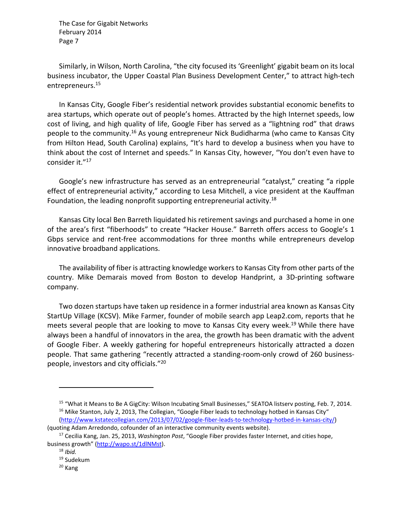Similarly, in Wilson, North Carolina, "the city focused its 'Greenlight' gigabit beam on its local business incubator, the Upper Coastal Plan Business Development Center," to attract high‐tech entrepreneurs.15

In Kansas City, Google Fiber's residential network provides substantial economic benefits to area startups, which operate out of people's homes. Attracted by the high Internet speeds, low cost of living, and high quality of life, Google Fiber has served as a "lightning rod" that draws people to the community.<sup>16</sup> As young entrepreneur Nick Budidharma (who came to Kansas City from Hilton Head, South Carolina) explains, "It's hard to develop a business when you have to think about the cost of Internet and speeds." In Kansas City, however, "You don't even have to consider it."17

Google's new infrastructure has served as an entrepreneurial "catalyst," creating "a ripple effect of entrepreneurial activity," according to Lesa Mitchell, a vice president at the Kauffman Foundation, the leading nonprofit supporting entrepreneurial activity.<sup>18</sup>

Kansas City local Ben Barreth liquidated his retirement savings and purchased a home in one of the area's first "fiberhoods" to create "Hacker House." Barreth offers access to Google's 1 Gbps service and rent-free accommodations for three months while entrepreneurs develop innovative broadband applications.

The availability of fiber is attracting knowledge workersto Kansas City from other parts of the country. Mike Demarais moved from Boston to develop Handprint, a 3D‐printing software company.

Two dozen startups have taken up residence in a former industrial area known as Kansas City StartUp Village (KCSV). Mike Farmer, founder of mobile search app Leap2.com, reports that he meets several people that are looking to move to Kansas City every week.<sup>19</sup> While there have always been a handful of innovators in the area, the growth has been dramatic with the advent of Google Fiber. A weekly gathering for hopeful entrepreneurs historically attracted a dozen people. That same gathering "recently attracted a standing‐room‐only crowd of 260 business‐ people, investors and city officials."20

<sup>&</sup>lt;sup>15</sup> "What it Means to Be A GigCity: Wilson Incubating Small Businesses," SEATOA listserv posting, Feb. 7, 2014.  $16$  Mike Stanton, July 2, 2013, The Collegian, "Google Fiber leads to technology hotbed in Kansas City" (http://www.kstatecollegian.com/2013/07/02/google‐fiber‐leads‐to‐technology‐hotbed‐in‐kansas‐city/) (quoting Adam Arredondo, cofounder of an interactive community events website).

<sup>17</sup> Cecilia Kang, Jan. 25, 2013, *Washington Post*, "Google Fiber provides faster Internet, and cities hope, business growth" (http://wapo.st/1dlNMst).

<sup>18</sup> *Ibid.*

<sup>19</sup> Sudekum

<sup>20</sup> Kang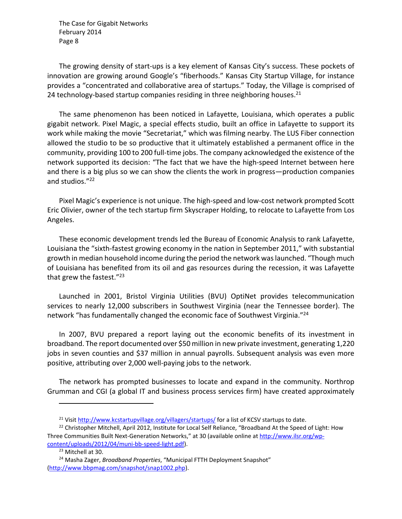The growing density of start‐ups is a key element of Kansas City's success. These pockets of innovation are growing around Google's "fiberhoods." Kansas City Startup Village, for instance provides a "concentrated and collaborative area of startups." Today, the Village is comprised of 24 technology-based startup companies residing in three neighboring houses. $^{21}$ 

The same phenomenon has been noticed in Lafayette, Louisiana, which operates a public gigabit network. Pixel Magic, a special effects studio, built an office in Lafayette to support its work while making the movie "Secretariat," which was filming nearby. The LUS Fiber connection allowed the studio to be so productive that it ultimately established a permanent office in the community, providing 100 to 200 full‐time jobs. The company acknowledged the existence of the network supported its decision: "The fact that we have the high‐speed Internet between here and there is a big plus so we can show the clients the work in progress—production companies and studios."22

Pixel Magic's experience is not unique. The high‐speed and low‐cost network prompted Scott Eric Olivier, owner of the tech startup firm Skyscraper Holding, to relocate to Lafayette from Los Angeles.

These economic development trends led the Bureau of Economic Analysis to rank Lafayette, Louisiana the "sixth-fastest growing economy in the nation in September 2011," with substantial growth in median household income during the period the network waslaunched. "Though much of Louisiana has benefited from its oil and gas resources during the recession, it was Lafayette that grew the fastest."23

Launched in 2001, Bristol Virginia Utilities (BVU) OptiNet provides telecommunication services to nearly 12,000 subscribers in Southwest Virginia (near the Tennessee border). The network "has fundamentally changed the economic face of Southwest Virginia."24

In 2007, BVU prepared a report laying out the economic benefits of its investment in broadband. The report documented over \$50 million in new private investment, generating 1,220 jobs in seven counties and \$37 million in annual payrolls. Subsequent analysis was even more positive, attributing over 2,000 well‐paying jobs to the network.

The network has prompted businesses to locate and expand in the community. Northrop Grumman and CGI (a global IT and business process services firm) have created approximately

<sup>&</sup>lt;sup>21</sup> Visit http://www.kcstartupvillage.org/villagers/startups/ for a list of KCSV startups to date.

<sup>&</sup>lt;sup>22</sup> Christopher Mitchell, April 2012, Institute for Local Self Reliance, "Broadband At the Speed of Light: How Three Communities Built Next-Generation Networks," at 30 (available online at http://www.ilsr.org/wpcontent/uploads/2012/04/muni‐bb‐speed‐light.pdf).

<sup>&</sup>lt;sup>23</sup> Mitchell at 30.

<sup>24</sup> Masha Zager, *Broadband Properties*, "Municipal FTTH Deployment Snapshot" (http://www.bbpmag.com/snapshot/snap1002.php).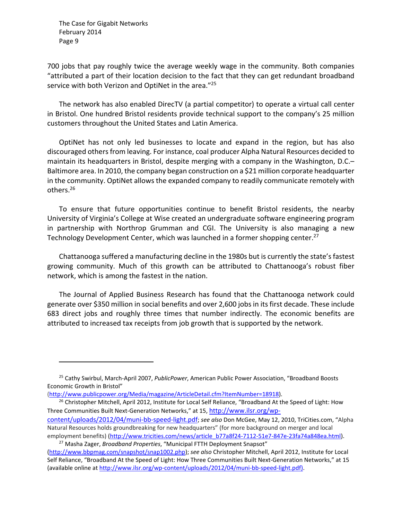700 jobs that pay roughly twice the average weekly wage in the community. Both companies "attributed a part of their location decision to the fact that they can get redundant broadband service with both Verizon and OptiNet in the area."<sup>25</sup>

The network has also enabled DirecTV (a partial competitor) to operate a virtual call center in Bristol. One hundred Bristol residents provide technical support to the company's 25 million customers throughout the United States and Latin America.

OptiNet has not only led businesses to locate and expand in the region, but has also discouraged othersfrom leaving. For instance, coal producer Alpha Natural Resources decided to maintain its headquarters in Bristol, despite merging with a company in the Washington, D.C.– Baltimore area. In 2010, the company began construction on a \$21 million corporate headquarter in the community. OptiNet allows the expanded company to readily communicate remotely with others.26

To ensure that future opportunities continue to benefit Bristol residents, the nearby University of Virginia's College at Wise created an undergraduate software engineering program in partnership with Northrop Grumman and CGI. The University is also managing a new Technology Development Center, which was launched in a former shopping center.<sup>27</sup>

Chattanooga suffered a manufacturing decline in the 1980s but is currently the state'sfastest growing community. Much of this growth can be attributed to Chattanooga's robust fiber network, which is among the fastest in the nation.

The Journal of Applied Business Research has found that the Chattanooga network could generate over \$350 million in social benefits and over 2,600 jobs in its first decade. These include 683 direct jobs and roughly three times that number indirectly. The economic benefits are attributed to increased tax receipts from job growth that is supported by the network.

<sup>25</sup> Cathy Swirbul, March‐April 2007, *PublicPower*, American Public Power Association, "Broadband Boosts Economic Growth in Bristol"

<sup>(</sup>http://www.publicpower.org/Media/magazine/ArticleDetail.cfm?ItemNumber=18918).

<sup>&</sup>lt;sup>26</sup> Christopher Mitchell, April 2012, Institute for Local Self Reliance, "Broadband At the Speed of Light: How Three Communities Built Next-Generation Networks," at 15, http://www.ilsr.org/wpcontent/uploads/2012/04/muni‐bb‐speed‐light.pdf; *see also* Don McGee, May 12, 2010, TriCities.com, "Alpha Natural Resources holds groundbreaking for new headquarters" (for more background on merger and local

employment benefits) (http://www.tricities.com/news/article\_b77a8f24-7112-51e7-847e-23fa74a848ea.html). <sup>27</sup> Masha Zager, *Broadband Properties*, "Municipal FTTH Deployment Snapsot"

<sup>(</sup>http://www.bbpmag.com/snapshot/snap1002.php); *see also* Christopher Mitchell, April 2012, Institute for Local Self Reliance, "Broadband At the Speed of Light: How Three Communities Built Next-Generation Networks," at 15 (available online at http://www.ilsr.org/wp‐content/uploads/2012/04/muni‐bb‐speed‐light.pdf).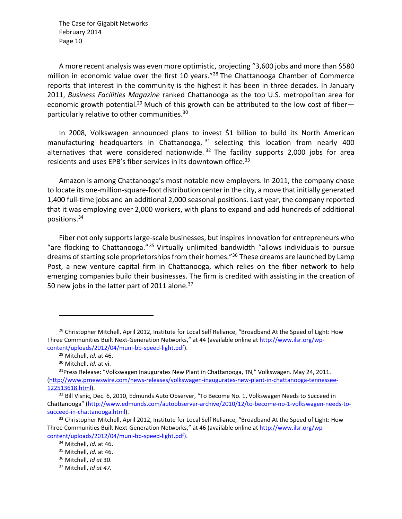A more recent analysis was even more optimistic, projecting "3,600 jobs and more than \$580 million in economic value over the first 10 years."<sup>28</sup> The Chattanooga Chamber of Commerce reports that interest in the community is the highest it has been in three decades. In January 2011, *Business Facilities Magazine* ranked Chattanooga as the top U.S. metropolitan area for economic growth potential.<sup>29</sup> Much of this growth can be attributed to the low cost of fiberparticularly relative to other communities.30

In 2008, Volkswagen announced plans to invest \$1 billion to build its North American manufacturing headquarters in Chattanooga,  $31$  selecting this location from nearly 400 alternatives that were considered nationwide.  $32$  The facility supports 2,000 jobs for area residents and uses EPB's fiber services in its downtown office.<sup>33</sup>

Amazon is among Chattanooga's most notable new employers. In 2011, the company chose to locate its one‐million‐square‐foot distribution center in the city, a move that initially generated 1,400 full‐time jobs and an additional 2,000 seasonal positions. Last year, the company reported that it was employing over 2,000 workers, with plans to expand and add hundreds of additional positions.34

Fiber not only supports large-scale businesses, but inspires innovation for entrepreneurs who "are flocking to Chattanooga."35 Virtually unlimited bandwidth "allows individuals to pursue dreams of starting sole proprietorships from their homes."<sup>36</sup> These dreams are launched by Lamp Post, a new venture capital firm in Chattanooga, which relies on the fiber network to help emerging companies build their businesses. The firm is credited with assisting in the creation of 50 new jobs in the latter part of 2011 alone.<sup>37</sup>

<sup>&</sup>lt;sup>28</sup> Christopher Mitchell, April 2012, Institute for Local Self Reliance, "Broadband At the Speed of Light: How Three Communities Built Next-Generation Networks," at 44 (available online at http://www.ilsr.org/wpcontent/uploads/2012/04/muni‐bb‐speed‐light.pdf).

<sup>29</sup> Mitchell, *Id.* at 46.

<sup>30</sup> Mitchell, *Id.* at vi.

 $31P$ ress Release: "Volkswagen Inaugurates New Plant in Chattanooga, TN," Volkswagen. May 24, 2011. (http://www.prnewswire.com/news‐releases/volkswagen‐inaugurates‐new‐plant‐in‐chattanooga‐tennessee‐ 122513618.html).

 $32$  Bill Visnic, Dec. 6, 2010, Edmunds Auto Observer, "To Become No. 1, Volkswagen Needs to Succeed in Chattanooga" (http://www.edmunds.com/autoobserver‐archive/2010/12/to‐become‐no‐1‐volkswagen‐needs‐to‐ succeed‐in‐chattanooga.html).

<sup>&</sup>lt;sup>33</sup> Christopher Mitchell, April 2012, Institute for Local Self Reliance, "Broadband At the Speed of Light: How Three Communities Built Next-Generation Networks," at 46 (available online at http://www.ilsr.org/wpcontent/uploads/2012/04/muni‐bb‐speed‐light.pdf).

<sup>34</sup> Mitchell, *Id.* at 46.

<sup>35</sup> Mitchell, *Id.* at 46.

<sup>36</sup> Mitchell, *Id at* 30.

<sup>37</sup> Mitchell, *Id at 47.*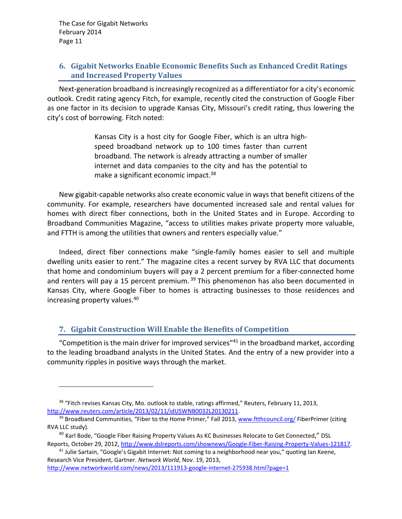#### **6. Gigabit Networks Enable Economic Benefits Such as Enhanced Credit Ratings and Increased Property Values**

Next-generation broadband is increasingly recognized as a differentiator for a city's economic outlook. Credit rating agency Fitch, for example, recently cited the construction of Google Fiber as one factor in its decision to upgrade Kansas City, Missouri's credit rating, thus lowering the city's cost of borrowing. Fitch noted:

> Kansas City is a host city for Google Fiber, which is an ultra high‐ speed broadband network up to 100 times faster than current broadband. The network is already attracting a number of smaller internet and data companies to the city and has the potential to make a significant economic impact.<sup>38</sup>

New gigabit‐capable networks also create economic value in ways that benefit citizens of the community. For example, researchers have documented increased sale and rental values for homes with direct fiber connections, both in the United States and in Europe. According to Broadband Communities Magazine, "access to utilities makes private property more valuable, and FTTH is among the utilities that owners and renters especially value."

Indeed, direct fiber connections make "single‐family homes easier to sell and multiple dwelling units easier to rent." The magazine cites a recent survey by RVA LLC that documents that home and condominium buyers will pay a 2 percent premium for a fiber‐connected home and renters will pay a 15 percent premium.<sup>39</sup> This phenomenon has also been documented in Kansas City, where Google Fiber to homes is attracting businesses to those residences and increasing property values.40

### **7. Gigabit Construction Will Enable the Benefits of Competition**

"Competition is the main driver for improved services"<sup>41</sup> in the broadband market, according to the leading broadband analysts in the United States. And the entry of a new provider into a community ripples in positive ways through the market.

http://www.networkworld.com/news/2013/111913-google-internet-275938.html?page=1

<sup>&</sup>lt;sup>38</sup> "Fitch revises Kansas City, Mo. outlook to stable, ratings affirmed," Reuters, February 11, 2013, http://www.reuters.com/article/2013/02/11/idUSWNB0032L20130211.

<sup>&</sup>lt;sup>39</sup> Broadband Communities, "Fiber to the Home Primer," Fall 2013, www.ftthcouncil.org/ FiberPrimer (citing RVA LLC study).

<sup>&</sup>lt;sup>40</sup> Karl Bode, "Google Fiber Raising Property Values As KC Businesses Relocate to Get Connected," DSL Reports, October 29, 2012, http://www.dslreports.com/shownews/Google-Fiber-Raising-Property-Values-121817.

<sup>&</sup>lt;sup>41</sup> Julie Sartain, "Google's Gigabit Internet: Not coming to a neighborhood near you," quoting Ian Keene, Research Vice President, Gartner. *Network World*, Nov. 19, 2013,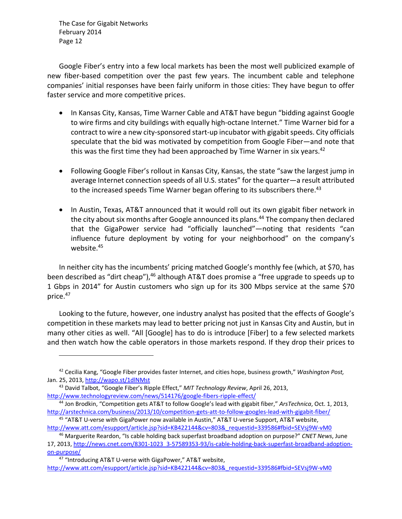Google Fiber's entry into a few local markets has been the most well publicized example of new fiber-based competition over the past few years. The incumbent cable and telephone companies' initial responses have been fairly uniform in those cities: They have begun to offer faster service and more competitive prices.

- In Kansas City, Kansas, Time Warner Cable and AT&T have begun "bidding against Google to wire firms and city buildings with equally high‐octane Internet." Time Warner bid for a contract to wire a new city-sponsored start-up incubator with gigabit speeds. City officials speculate that the bid was motivated by competition from Google Fiber—and note that this was the first time they had been approached by Time Warner in six years.<sup>42</sup>
- Following Google Fiber's rollout in Kansas City, Kansas, the state "saw the largest jump in average Internet connection speeds of all U.S. states" for the quarter—a result attributed to the increased speeds Time Warner began offering to its subscribers there.<sup>43</sup>
- In Austin, Texas, AT&T announced that it would roll out its own gigabit fiber network in the city about six months after Google announced its plans.<sup>44</sup> The company then declared that the GigaPower service had "officially launched"—noting that residents "can influence future deployment by voting for your neighborhood" on the company's website.<sup>45</sup>

In neither city has the incumbents' pricing matched Google's monthly fee (which, at \$70, has been described as "dirt cheap"), <sup>46</sup> although AT&T does promise a "free upgrade to speeds up to 1 Gbps in 2014" for Austin customers who sign up for its 300 Mbps service at the same \$70 price.47

Looking to the future, however, one industry analyst has posited that the effects of Google's competition in these markets may lead to better pricing not just in Kansas City and Austin, but in many other cities as well. "All [Google] has to do is introduce [Fiber] to a few selected markets and then watch how the cable operators in those markets respond. If they drop their prices to

<sup>42</sup> Cecilia Kang, "Google Fiber provides faster Internet, and cities hope, business growth," *Washington Post,* Jan. 25, 2013, http://wapo.st/1dlNMst

<sup>43</sup> David Talbot, "Google Fiber's Ripple Effect," *MIT Technology Review*, April 26, 2013, http://www.technologyreview.com/news/514176/google-fibers-ripple-effect/

<sup>44</sup> Jon Brodkin, "Competition gets AT&T to follow Google's lead with gigabit fiber," *ArsTechnica*, Oct. 1, 2013, http://arstechnica.com/business/2013/10/competition-gets-att-to-follow-googles-lead-with-gigabit-fiber/

<sup>45 &</sup>quot;AT&T U-verse with GigaPower now available in Austin," AT&T U-verse Support, AT&T website, http://www.att.com/esupport/article.jsp?sid=KB422144&cv=803&\_requestid=339586#fbid=SEVsj9W-vM0

<sup>46</sup> Marguerite Reardon, "Is cable holding back superfast broadband adoption on purpose?" *CNET News*, June 17, 2013, http://news.cnet.com/8301-1023\_3-57589353-93/is-cable-holding-back-superfast-broadband-adoptionon‐purpose/

<sup>47 &</sup>quot;Introducing AT&T U-verse with GigaPower," AT&T website, http://www.att.com/esupport/article.jsp?sid=KB422144&cv=803&\_requestid=339586#fbid=SEVsj9W-vM0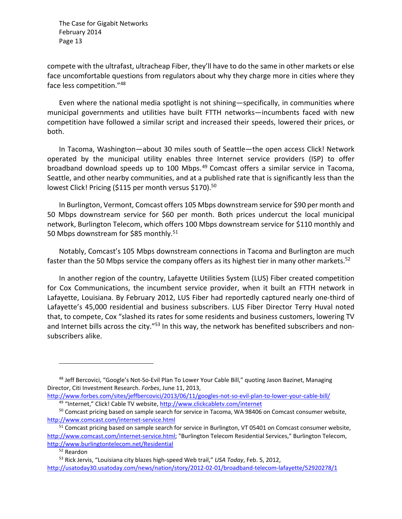compete with the ultrafast, ultracheap Fiber, they'll have to do the same in other markets or else face uncomfortable questions from regulators about why they charge more in cities where they face less competition."48

Even where the national media spotlight is not shining—specifically, in communities where municipal governments and utilities have built FTTH networks—incumbents faced with new competition have followed a similar script and increased their speeds, lowered their prices, or both.

In Tacoma, Washington—about 30 miles south of Seattle—the open access Click! Network operated by the municipal utility enables three Internet service providers (ISP) to offer broadband download speeds up to 100 Mbps.49 Comcast offers a similar service in Tacoma, Seattle, and other nearby communities, and at a published rate that is significantly less than the lowest Click! Pricing (\$115 per month versus \$170).<sup>50</sup>

In Burlington, Vermont, Comcast offers 105 Mbps downstream service for \$90 per month and 50 Mbps downstream service for \$60 per month. Both prices undercut the local municipal network, Burlington Telecom, which offers 100 Mbps downstream service for \$110 monthly and 50 Mbps downstream for \$85 monthly.<sup>51</sup>

Notably, Comcast's 105 Mbps downstream connections in Tacoma and Burlington are much faster than the 50 Mbps service the company offers as its highest tier in many other markets.<sup>52</sup>

In another region of the country, Lafayette Utilities System (LUS) Fiber created competition for Cox Communications, the incumbent service provider, when it built an FTTH network in Lafayette, Louisiana. By February 2012, LUS Fiber had reportedly captured nearly one‐third of Lafayette's 45,000 residential and business subscribers. LUS Fiber Director Terry Huval noted that, to compete, Cox "slashed its rates for some residents and business customers, lowering TV and Internet bills across the city."<sup>53</sup> In this way, the network has benefited subscribers and nonsubscribers alike.

<sup>&</sup>lt;sup>48</sup> Jeff Bercovici, "Google's Not-So-Evil Plan To Lower Your Cable Bill," quoting Jason Bazinet, Managing Director, Citi Investment Research. *Forbes*, June 11, 2013,

http://www.forbes.com/sites/jeffbercovici/2013/06/11/googles‐not‐so‐evil‐plan‐to‐lower‐your‐cable‐bill/ 49 "Internet," Click! Cable TV website, http://www.clickcabletv.com/internet

<sup>&</sup>lt;sup>50</sup> Comcast pricing based on sample search for service in Tacoma, WA 98406 on Comcast consumer website, http://www.comcast.com/internet‐service.html

<sup>51</sup> Comcast pricing based on sample search for service in Burlington, VT 05401 on Comcast consumer website, http://www.comcast.com/internet-service.html; "Burlington Telecom Residential Services," Burlington Telecom, http://www.burlingtontelecom.net/Residential

<sup>52</sup> Reardon

<sup>53</sup> Rick Jervis, "Louisiana city blazes high‐speed Web trail," *USA Today*, Feb. 5, 2012, http://usatoday30.usatoday.com/news/nation/story/2012‐02‐01/broadband‐telecom‐lafayette/52920278/1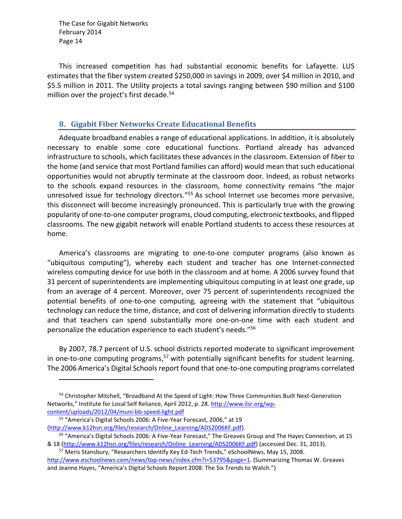This increased competition has had substantial economic benefits for Lafayette. LUS estimates that the fiber system created \$250,000 in savings in 2009, over \$4 million in 2010, and \$5.5 million in 2011. The Utility projects a total savings ranging between \$90 million and \$100 million over the project's first decade.<sup>54</sup>

#### **8. Gigabit Fiber Networks Create Educational Benefits**

Adequate broadband enables a range of educational applications. In addition, it is absolutely necessary to enable some core educational functions. Portland already has advanced infrastructure to schools, which facilitates these advances in the classroom. Extension of fiber to the home (and service that most Portland families can afford) would mean that such educational opportunities would not abruptly terminate at the classroom door. Indeed, as robust networks to the schools expand resources in the classroom, home connectivity remains "the major unresolved issue for technology directors."55 As school Internet use becomes more pervasive, this disconnect will become increasingly pronounced. This is particularly true with the growing popularity of one‐to‐one computer programs, cloud computing, electronic textbooks, and flipped classrooms. The new gigabit network will enable Portland students to access these resources at home.

America's classrooms are migrating to one‐to‐one computer programs (also known as "ubiquitous computing"), whereby each student and teacher has one Internet‐connected wireless computing device for use both in the classroom and at home. A 2006 survey found that 31 percent of superintendents are implementing ubiquitous computing in at least one grade, up from an average of 4 percent. Moreover, over 75 percent of superintendents recognized the potential benefits of one‐to‐one computing, agreeing with the statement that "ubiquitous technology can reduce the time, distance, and cost of delivering information directly to students and that teachers can spend substantially more one-on-one time with each student and personalize the education experience to each student's needs."56

By 2007, 78.7 percent of U.S. school districts reported moderate to significant improvement in one-to-one computing programs,<sup>57</sup> with potentially significant benefits for student learning. The 2006 America's Digital Schools report found that one-to-one computing programs correlated

<sup>54</sup> Christopher Mitchell, "Broadband At the Speed of Light: How Three Communities Built Next-Generation Networks," Institute for Local Self Reliance, April 2012, p. 28. http://www.ilsr.org/wpcontent/uploads/2012/04/muni‐bb‐speed‐light.pdf

<sup>55</sup> "America's Digital Schools 2006: A Five‐Year Forecast, 2006," at 19 (http://www.k12hsn.org/files/research/Online\_Learning/ADS2006KF.pdf).

<sup>56 &</sup>quot;America's Digital Schools 2006: A Five-Year Forecast," The Greaves Group and The Hayes Connection, at 15 & 18 (http://www.k12hsn.org/files/research/Online\_Learning/ADS2006KF.pdf) (accessed Dec. 31, 2013).

<sup>57</sup> Meris Stansbury, "Researchers Identify Key Ed-Tech Trends," eSchoolNews, May 15, 2008. http://www.eschoolnews.com/news/top‐news/index.cfm?i=53795&page=1. (Summarizing Thomas W. Greaves and Jeanne Hayes, "America's Digital Schools Report 2008: The Six Trends to Watch.")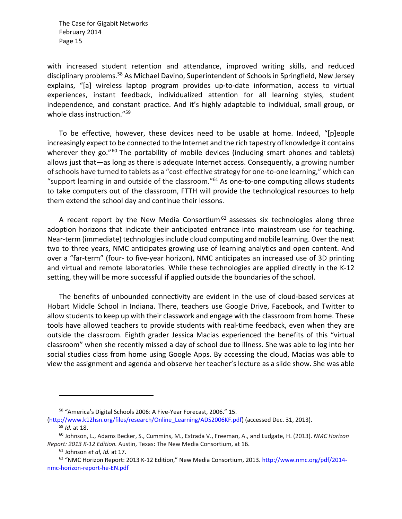with increased student retention and attendance, improved writing skills, and reduced disciplinary problems.<sup>58</sup> As Michael Davino, Superintendent of Schools in Springfield, New Jersey explains, "[a] wireless laptop program provides up-to-date information, access to virtual experiences, instant feedback, individualized attention for all learning styles, student independence, and constant practice. And it's highly adaptable to individual, small group, or whole class instruction."<sup>59</sup>

To be effective, however, these devices need to be usable at home. Indeed, "[p]eople increasingly expect to be connected to the Internet and the rich tapestry of knowledge it contains wherever they go."<sup>60</sup> The portability of mobile devices (including smart phones and tablets) allows just that—as long as there is adequate Internet access. Consequently, a growing number of schools have turned to tablets as a "cost-effective strategy for one-to-one learning," which can "support learning in and outside of the classroom."61 As one‐to‐one computing allows students to take computers out of the classroom, FTTH will provide the technological resources to help them extend the school day and continue their lessons.

A recent report by the New Media Consortium<sup>62</sup> assesses six technologies along three adoption horizons that indicate their anticipated entrance into mainstream use for teaching. Near-term (immediate) technologies include cloud computing and mobile learning. Over the next two to three years, NMC anticipates growing use of learning analytics and open content. And over a "far-term" (four- to five-year horizon), NMC anticipates an increased use of 3D printing and virtual and remote laboratories. While these technologies are applied directly in the K‐12 setting, they will be more successful if applied outside the boundaries of the school.

The benefits of unbounded connectivity are evident in the use of cloud‐based services at Hobart Middle School in Indiana. There, teachers use Google Drive, Facebook, and Twitter to allow students to keep up with their classwork and engage with the classroom from home. These tools have allowed teachers to provide students with real‐time feedback, even when they are outside the classroom. Eighth grader Jessica Macias experienced the benefits of this "virtual classroom" when she recently missed a day of school due to illness. She was able to log into her social studies class from home using Google Apps. By accessing the cloud, Macias was able to view the assignment and agenda and observe her teacher's lecture as a slide show. She was able

<sup>58 &</sup>quot;America's Digital Schools 2006: A Five-Year Forecast, 2006." 15.

<sup>(</sup>http://www.k12hsn.org/files/research/Online\_Learning/ADS2006KF.pdf) (accessed Dec. 31, 2013). <sup>59</sup> *Id.* at 18.

<sup>60</sup> Johnson, L., Adams Becker, S., Cummins, M., Estrada V., Freeman, A., and Ludgate, H. (2013). *NMC Horizon Report: 2013 K‐12 Edition.* Austin, Texas: The New Media Consortium, at 16.

<sup>61</sup> Johnson *et al, Id.* at 17.

<sup>62 &</sup>quot;NMC Horizon Report: 2013 K-12 Edition," New Media Consortium, 2013. http://www.nmc.org/pdf/2014nmc‐horizon‐report‐he‐EN.pdf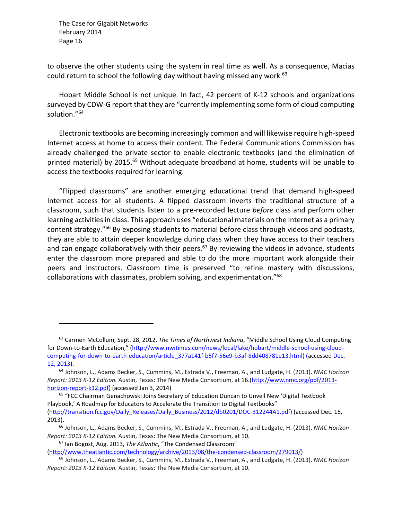to observe the other students using the system in real time as well. As a consequence, Macias could return to school the following day without having missed any work.<sup>63</sup>

Hobart Middle School is not unique. In fact, 42 percent of K‐12 schools and organizations surveyed by CDW‐G report that they are "currently implementing some form of cloud computing solution."64

Electronic textbooks are becoming increasingly common and will likewise require high‐speed Internet access at home to access their content. The Federal Communications Commission has already challenged the private sector to enable electronic textbooks (and the elimination of printed material) by 2015.<sup>65</sup> Without adequate broadband at home, students will be unable to access the textbooks required for learning.

"Flipped classrooms" are another emerging educational trend that demand high‐speed Internet access for all students. A flipped classroom inverts the traditional structure of a classroom, such that students listen to a pre‐recorded lecture *before* class and perform other learning activities in class. This approach uses "educational materials on the Internet as a primary content strategy."66 By exposing students to material before class through videos and podcasts, they are able to attain deeper knowledge during class when they have access to their teachers and can engage collaboratively with their peers. $67$  By reviewing the videos in advance, students enter the classroom more prepared and able to do the more important work alongside their peers and instructors. Classroom time is preserved "to refine mastery with discussions, collaborations with classmates, problem solving, and experimentation."68

<sup>65</sup> "FCC Chairman Genachowski Joins Secretary of Education Duncan to Unveil New 'Digital Textbook Playbook,' A Roadmap for Educators to Accelerate the Transition to Digital Textbooks" (http://transition.fcc.gov/Daily\_Releases/Daily\_Business/2012/db0201/DOC‐312244A1.pdf) (accessed Dec. 15, 2013).

<sup>67</sup> Ian Bogost, Aug. 2013, *The Atlantic*, "The Condensed Classroom"

(http://www.theatlantic.com/technology/archive/2013/08/the‐condensed‐classroom/279013/)

<sup>63</sup> Carmen McCollum, Sept. 28, 2012, *The Times of Northwest Indiana*, "Middle School Using Cloud Computing for Down‐to‐Earth Education," (http://www.nwitimes.com/news/local/lake/hobart/middle‐school‐using‐cloud‐ computing-for-down-to-earth-education/article\_377a141f-b5f7-56e9-b3af-8dd408781e13.html) (accessed Dec. 12, 2013).

<sup>64</sup> Johnson, L., Adams Becker, S., Cummins, M., Estrada V., Freeman, A., and Ludgate, H. (2013). *NMC Horizon Report: 2013 K‐12 Edition.* Austin, Texas: The New Media Consortium, at 16.(http://www.nmc.org/pdf/2013‐ horizon‐report‐k12.pdf) (accessed Jan 3, 2014)

<sup>66</sup> Johnson, L., Adams Becker, S., Cummins, M., Estrada V., Freeman, A., and Ludgate, H. (2013). *NMC Horizon Report: 2013 K‐12 Edition.* Austin, Texas: The New Media Consortium, at 10.

<sup>68</sup> Johnson, L., Adams Becker, S., Cummins, M., Estrada V., Freeman, A., and Ludgate, H. (2013). *NMC Horizon Report: 2013 K‐12 Edition.* Austin, Texas: The New Media Consortium, at 10.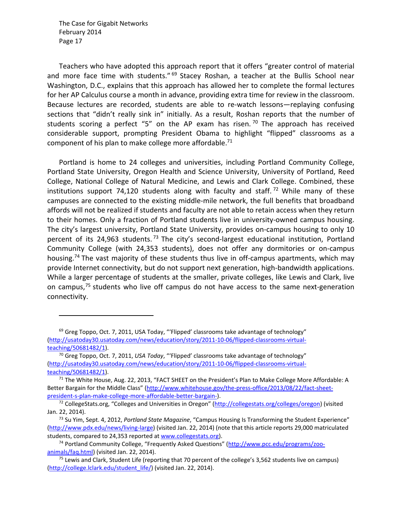Teachers who have adopted this approach report that it offers "greater control of material and more face time with students." <sup>69</sup> Stacey Roshan, a teacher at the Bullis School near Washington, D.C., explains that this approach has allowed her to complete the formal lectures for her AP Calculus course a month in advance, providing extra time for review in the classroom. Because lectures are recorded, students are able to re‐watch lessons—replaying confusing sections that "didn't really sink in" initially. As a result, Roshan reports that the number of students scoring a perfect "5" on the AP exam has risen.<sup>70</sup> The approach has received considerable support, prompting President Obama to highlight "flipped" classrooms as a component of his plan to make college more affordable.<sup>71</sup>

Portland is home to 24 colleges and universities, including Portland Community College, Portland State University, Oregon Health and Science University, University of Portland, Reed College, National College of Natural Medicine, and Lewis and Clark College. Combined, these institutions support 74,120 students along with faculty and staff.<sup>72</sup> While many of these campuses are connected to the existing middle‐mile network, the full benefits that broadband affords will not be realized if students and faculty are not able to retain access when they return to their homes. Only a fraction of Portland students live in university-owned campus housing. The city's largest university, Portland State University, provides on‐campus housing to only 10 percent of its 24,963 students.<sup>73</sup> The city's second-largest educational institution, Portland Community College (with 24,353 students), does not offer any dormitories or on‐campus housing.<sup>74</sup> The vast majority of these students thus live in off-campus apartments, which may provide Internet connectivity, but do not support next generation, high‐bandwidth applications. While a larger percentage of students at the smaller, private colleges, like Lewis and Clark, live on campus,<sup>75</sup> students who live off campus do not have access to the same next-generation connectivity.

<sup>&</sup>lt;sup>69</sup> Greg Toppo, Oct. 7, 2011, USA Today, "'Flipped' classrooms take advantage of technology" (http://usatoday30.usatoday.com/news/education/story/2011‐10‐06/flipped‐classrooms‐virtual‐ teaching/50681482/1).

<sup>70</sup> Greg Toppo, Oct. 7, 2011, *USA Today*, "'Flipped' classrooms take advantage of technology" (http://usatoday30.usatoday.com/news/education/story/2011‐10‐06/flipped‐classrooms‐virtual‐ teaching/50681482/1).

 $71$  The White House, Aug. 22, 2013, "FACT SHEET on the President's Plan to Make College More Affordable: A Better Bargain for the Middle Class" (http://www.whitehouse.gov/the-press-office/2013/08/22/fact-sheetpresident‐s‐plan‐make‐college‐more‐affordable‐better‐bargain‐).

<sup>72</sup> CollegeStats.org, "Colleges and Universities in Oregon" (http://collegestats.org/colleges/oregon) (visited Jan. 22, 2014).

<sup>73</sup> Su Yim, Sept. 4, 2012, *Portland State Magazine*, "Campus Housing Is Transforming the Student Experience" (http://www.pdx.edu/news/living‐large) (visited Jan. 22, 2014) (note that this article reports 29,000 matriculated students, compared to 24,353 reported at www.collegestats.org).

<sup>74</sup> Portland Community College, "Frequently Asked Questions" (http://www.pcc.edu/programs/zoo‐ animals/faq.html) (visited Jan. 22, 2014).

 $75$  Lewis and Clark, Student Life (reporting that 70 percent of the college's 3,562 students live on campus) (http://college.lclark.edu/student\_life/) (visited Jan. 22, 2014).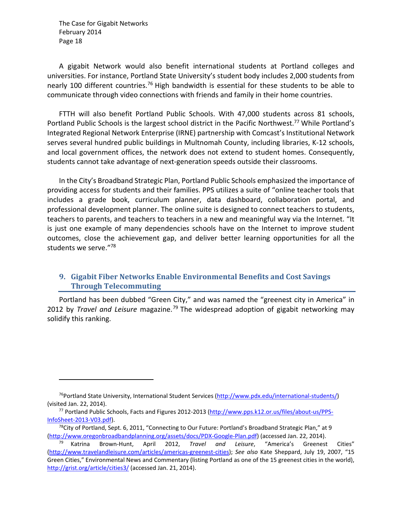A gigabit Network would also benefit international students at Portland colleges and universities. For instance, Portland State University's student body includes 2,000 students from nearly 100 different countries.<sup>76</sup> High bandwidth is essential for these students to be able to communicate through video connections with friends and family in their home countries.

FTTH will also benefit Portland Public Schools. With 47,000 students across 81 schools, Portland Public Schools is the largest school district in the Pacific Northwest.<sup>77</sup> While Portland's Integrated Regional Network Enterprise (IRNE) partnership with Comcast's Institutional Network serves several hundred public buildings in Multnomah County, including libraries, K‐12 schools, and local government offices, the network does not extend to student homes. Consequently, students cannot take advantage of next‐generation speeds outside their classrooms.

In the City's Broadband Strategic Plan, Portland Public Schools emphasized the importance of providing access for students and their families. PPS utilizes a suite of "online teacher tools that includes a grade book, curriculum planner, data dashboard, collaboration portal, and professional development planner. The online suite is designed to connect teachers to students, teachers to parents, and teachers to teachers in a new and meaningful way via the Internet. "It is just one example of many dependencies schools have on the Internet to improve student outcomes, close the achievement gap, and deliver better learning opportunities for all the students we serve."78

#### **9. Gigabit Fiber Networks Enable Environmental Benefits and Cost Savings Through Telecommuting**

Portland has been dubbed "Green City," and was named the "greenest city in America" in 2012 by *Travel and Leisure* magazine.79 The widespread adoption of gigabit networking may solidify this ranking.

<sup>&</sup>lt;sup>76</sup>Portland State University, International Student Services (http://www.pdx.edu/international-students/) (visited Jan. 22, 2014).

<sup>77</sup> Portland Public Schools, Facts and Figures 2012‐2013 (http://www.pps.k12.or.us/files/about‐us/PPS‐ InfoSheet‐2013‐V03.pdf).

 $78$ City of Portland, Sept. 6, 2011, "Connecting to Our Future: Portland's Broadband Strategic Plan," at 9 (http://www.oregonbroadbandplanning.org/assets/docs/PDX‐Google‐Plan.pdf) (accessed Jan. 22, 2014).

<sup>79</sup> Katrina Brown‐Hunt, April 2012, *Travel and Leisure*, "America's Greenest Cities" (http://www.travelandleisure.com/articles/americas‐greenest‐cities); *See also* Kate Sheppard, July 19, 2007, "15 Green Cities," Environmental News and Commentary (listing Portland as one of the 15 greenest cities in the world), http://grist.org/article/cities3/ (accessed Jan. 21, 2014).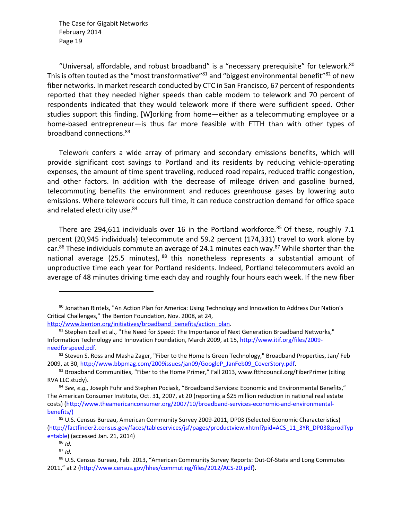"Universal, affordable, and robust broadband" is a "necessary prerequisite" for telework. $80$ This is often touted as the "most transformative" $81$  and "biggest environmental benefit" $82$  of new fiber networks. In market research conducted by CTC in San Francisco, 67 percent of respondents reported that they needed higher speeds than cable modem to telework and 70 percent of respondents indicated that they would telework more if there were sufficient speed. Other studies support this finding. [W]orking from home—either as a telecommuting employee or a home-based entrepreneur—is thus far more feasible with FTTH than with other types of broadband connections.<sup>83</sup>

Telework confers a wide array of primary and secondary emissions benefits, which will provide significant cost savings to Portland and its residents by reducing vehicle‐operating expenses, the amount of time spent traveling, reduced road repairs, reduced traffic congestion, and other factors. In addition with the decrease of mileage driven and gasoline burned, telecommuting benefits the environment and reduces greenhouse gases by lowering auto emissions. Where telework occurs full time, it can reduce construction demand for office space and related electricity use.<sup>84</sup>

There are 294,611 individuals over 16 in the Portland workforce.<sup>85</sup> Of these, roughly 7.1 percent (20,945 individuals) telecommute and 59.2 percent (174,331) travel to work alone by car.<sup>86</sup> These individuals commute an average of 24.1 minutes each way.<sup>87</sup> While shorter than the national average (25.5 minutes),  $88$  this nonetheless represents a substantial amount of unproductive time each year for Portland residents. Indeed, Portland telecommuters avoid an average of 48 minutes driving time each day and roughly four hours each week. If the new fiber

<sup>&</sup>lt;sup>80</sup> Jonathan Rintels, "An Action Plan for America: Using Technology and Innovation to Address Our Nation's Critical Challenges," The Benton Foundation, Nov. 2008, at 24,

http://www.benton.org/initiatives/broadband\_benefits/action\_plan.

<sup>&</sup>lt;sup>81</sup> Stephen Ezell et al., "The Need for Speed: The Importance of Next Generation Broadband Networks," Information Technology and Innovation Foundation, March 2009, at 15, http://www.itif.org/files/2009‐ needforspeed.pdf.

 $82$  Steven S. Ross and Masha Zager, "Fiber to the Home Is Green Technology," Broadband Properties, Jan/ Feb 2009, at 30, http://www.bbpmag.com/2009issues/jan09/GoogleP\_JanFeb09\_CoverStory.pdf.

<sup>&</sup>lt;sup>83</sup> Broadband Communities, "Fiber to the Home Primer," Fall 2013, www.ftthcouncil.org/FiberPrimer (citing RVA LLC study).

<sup>84</sup> *See, e.g.,* Joseph Fuhr and Stephen Pociask, "Broadband Services: Economic and Environmental Benefits," The American Consumer Institute, Oct. 31, 2007, at 20 (reporting a \$25 million reduction in national real estate costs) (http://www.theamericanconsumer.org/2007/10/broadband-services-economic-and-environmentalbenefits/)

<sup>85</sup> U.S. Census Bureau, American Community Survey 2009-2011, DP03 (Selected Economic Characteristics) (http://factfinder2.census.gov/faces/tableservices/jsf/pages/productview.xhtml?pid=ACS\_11\_3YR\_DP03&prodTyp e=table) (accessed Jan. 21, 2014)

<sup>86</sup> *Id.*

<sup>87</sup> *Id.*

<sup>88</sup> U.S. Census Bureau, Feb. 2013, "American Community Survey Reports: Out-Of-State and Long Commutes 2011," at 2 (http://www.census.gov/hhes/commuting/files/2012/ACS‐20.pdf).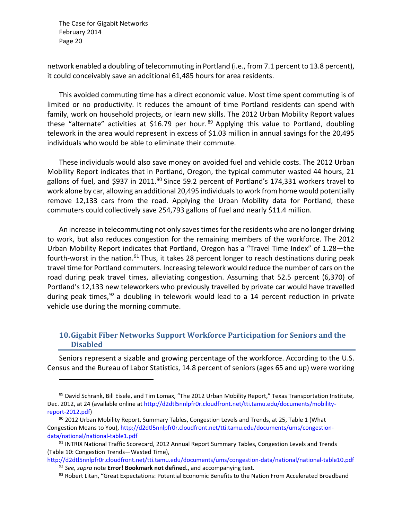network enabled a doubling of telecommuting in Portland (i.e., from 7.1 percent to 13.8 percent), it could conceivably save an additional 61,485 hours for area residents.

This avoided commuting time has a direct economic value. Most time spent commuting is of limited or no productivity. It reduces the amount of time Portland residents can spend with family, work on household projects, or learn new skills. The 2012 Urban Mobility Report values these "alternate" activities at \$16.79 per hour.<sup>89</sup> Applying this value to Portland, doubling telework in the area would represent in excess of \$1.03 million in annual savings for the 20,495 individuals who would be able to eliminate their commute.

These individuals would also save money on avoided fuel and vehicle costs. The 2012 Urban Mobility Report indicates that in Portland, Oregon, the typical commuter wasted 44 hours, 21 gallons of fuel, and \$937 in 2011.<sup>90</sup> Since 59.2 percent of Portland's 174,331 workers travel to work alone by car, allowing an additional 20,495 individuals to work from home would potentially remove 12,133 cars from the road. Applying the Urban Mobility data for Portland, these commuters could collectively save 254,793 gallons of fuel and nearly \$11.4 million.

An increase in telecommuting not only saves times for the residents who are no longer driving to work, but also reduces congestion for the remaining members of the workforce. The 2012 Urban Mobility Report indicates that Portland, Oregon has a "Travel Time Index" of 1.28—the fourth-worst in the nation.<sup>91</sup> Thus, it takes 28 percent longer to reach destinations during peak travel time for Portland commuters. Increasing telework would reduce the number of cars on the road during peak travel times, alleviating congestion. Assuming that 52.5 percent (6,370) of Portland's 12,133 new teleworkers who previously travelled by private car would have travelled during peak times,  $92$  a doubling in telework would lead to a 14 percent reduction in private vehicle use during the morning commute.

#### **10.Gigabit Fiber Networks Support Workforce Participation for Seniors and the Disabled**

Seniors represent a sizable and growing percentage of the workforce. According to the U.S. Census and the Bureau of Labor Statistics, 14.8 percent of seniors (ages 65 and up) were working

<sup>&</sup>lt;sup>89</sup> David Schrank, Bill Eisele, and Tim Lomax, "The 2012 Urban Mobility Report," Texas Transportation Institute, Dec. 2012, at 24 (available online at http://d2dtl5nnlpfr0r.cloudfront.net/tti.tamu.edu/documents/mobilityreport‐2012.pdf)

 $90$  2012 Urban Mobility Report, Summary Tables, Congestion Levels and Trends, at 25, Table 1 (What Congestion Means to You), http://d2dtl5nnlpfr0r.cloudfront.net/tti.tamu.edu/documents/ums/congestiondata/national/national‐table1.pdf

<sup>91</sup> INTRIX National Traffic Scorecard, 2012 Annual Report Summary Tables, Congestion Levels and Trends (Table 10: Congestion Trends—Wasted Time),

http://d2dtl5nnlpfr0r.cloudfront.net/tti.tamu.edu/documents/ums/congestion‐data/national/national‐table10.pdf <sup>92</sup> *See, supra* note **Error! Bookmark not defined.**, and accompanying text.

<sup>93</sup> Robert Litan, "Great Expectations: Potential Economic Benefits to the Nation From Accelerated Broadband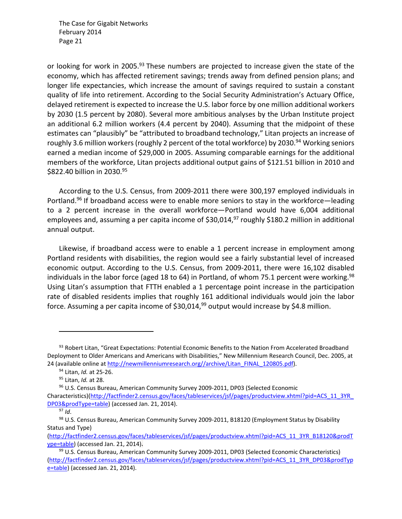or looking for work in 2005.<sup>93</sup> These numbers are projected to increase given the state of the economy, which has affected retirement savings; trends away from defined pension plans; and longer life expectancies, which increase the amount of savings required to sustain a constant quality of life into retirement. According to the Social Security Administration's Actuary Office, delayed retirement is expected to increase the U.S. labor force by one million additional workers by 2030 (1.5 percent by 2080). Several more ambitious analyses by the Urban Institute project an additional 6.2 million workers (4.4 percent by 2040). Assuming that the midpoint of these estimates can "plausibly" be "attributed to broadband technology," Litan projects an increase of roughly 3.6 million workers (roughly 2 percent of the total workforce) by 2030.<sup>94</sup> Working seniors earned a median income of \$29,000 in 2005. Assuming comparable earnings for the additional members of the workforce, Litan projects additional output gains of \$121.51 billion in 2010 and \$822.40 billion in 2030.95

According to the U.S. Census, from 2009‐2011 there were 300,197 employed individuals in Portland.<sup>96</sup> If broadband access were to enable more seniors to stay in the workforce—leading to a 2 percent increase in the overall workforce—Portland would have 6,004 additional employees and, assuming a per capita income of \$30,014, $^{97}$  roughly \$180.2 million in additional annual output.

Likewise, if broadband access were to enable a 1 percent increase in employment among Portland residents with disabilities, the region would see a fairly substantial level of increased economic output. According to the U.S. Census, from 2009‐2011, there were 16,102 disabled individuals in the labor force (aged 18 to 64) in Portland, of whom 75.1 percent were working.<sup>98</sup> Using Litan's assumption that FTTH enabled a 1 percentage point increase in the participation rate of disabled residents implies that roughly 161 additional individuals would join the labor force. Assuming a per capita income of  $$30,014,99$  output would increase by \$4.8 million.

<sup>&</sup>lt;sup>93</sup> Robert Litan, "Great Expectations: Potential Economic Benefits to the Nation From Accelerated Broadband Deployment to Older Americans and Americans with Disabilities," New Millennium Research Council, Dec. 2005, at 24 (available online at http://newmillenniumresearch.org//archive/Litan\_FINAL\_120805.pdf).

<sup>94</sup> Litan, *Id.* at 25‐26.

<sup>95</sup> Litan, *Id.* at 28.

<sup>&</sup>lt;sup>96</sup> U.S. Census Bureau, American Community Survey 2009-2011, DP03 (Selected Economic Characteristics)(http://factfinder2.census.gov/faces/tableservices/jsf/pages/productview.xhtml?pid=ACS\_11\_3YR\_ DP03&prodType=table) (accessed Jan. 21, 2014).

<sup>97</sup> *Id*.

<sup>98</sup> U.S. Census Bureau, American Community Survey 2009-2011, B18120 (Employment Status by Disability Status and Type)

<sup>(</sup>http://factfinder2.census.gov/faces/tableservices/jsf/pages/productview.xhtml?pid=ACS\_11\_3YR\_B18120&prodT ype=table) (accessed Jan. 21, 2014)**.**

<sup>99</sup> U.S. Census Bureau, American Community Survey 2009-2011, DP03 (Selected Economic Characteristics) (http://factfinder2.census.gov/faces/tableservices/jsf/pages/productview.xhtml?pid=ACS\_11\_3YR\_DP03&prodTyp e=table) (accessed Jan. 21, 2014).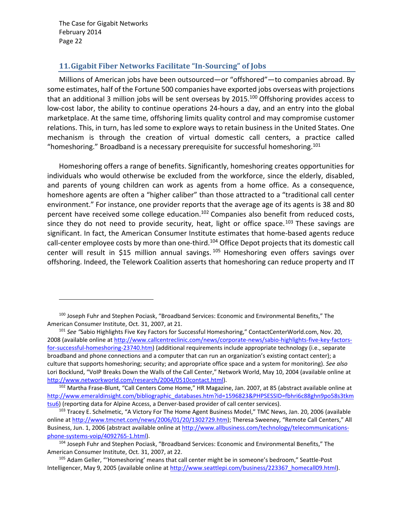#### **11.Gigabit Fiber Networks Facilitate "In‐Sourcing" of Jobs**

Millions of American jobs have been outsourced—or "offshored"—to companies abroad. By some estimates, half of the Fortune 500 companies have exported jobs overseas with projections that an additional 3 million jobs will be sent overseas by 2015.<sup>100</sup> Offshoring provides access to low-cost labor, the ability to continue operations 24-hours a day, and an entry into the global marketplace. At the same time, offshoring limits quality control and may compromise customer relations. This, in turn, has led some to explore ways to retain business in the United States. One mechanism is through the creation of virtual domestic call centers, a practice called "homeshoring." Broadband is a necessary prerequisite for successful homeshoring. $101$ 

Homeshoring offers a range of benefits. Significantly, homeshoring creates opportunities for individuals who would otherwise be excluded from the workforce, since the elderly, disabled, and parents of young children can work as agents from a home office. As a consequence, homeshore agents are often a "higher caliber" than those attracted to a "traditional call center environment." For instance, one provider reports that the average age of its agents is 38 and 80 percent have received some college education.<sup>102</sup> Companies also benefit from reduced costs, since they do not need to provide security, heat, light or office space.<sup>103</sup> These savings are significant. In fact, the American Consumer Institute estimates that home-based agents reduce call-center employee costs by more than one-third.<sup>104</sup> Office Depot projects that its domestic call center will result in \$15 million annual savings. <sup>105</sup> Homeshoring even offers savings over offshoring. Indeed, the Telework Coalition asserts that homeshoring can reduce property and IT

<sup>100</sup> Joseph Fuhr and Stephen Pociask, "Broadband Services: Economic and Environmental Benefits," The American Consumer Institute, Oct. 31, 2007, at 21.

<sup>&</sup>lt;sup>101</sup> See "Sabio Highlights Five Key Factors for Successful Homeshoring," ContactCenterWorld.com, Nov. 20, 2008 (available online at http://www.callcentreclinic.com/news/corporate-news/sabio-highlights-five-key-factorsfor-successful-homeshoring-23740.htm) (additional requirements include appropriate technology (i.e., separate broadband and phone connections and a computer that can run an organization's existing contact center); a culture that supports homeshoring; security; and appropriate office space and a system for monitoring). *See also* Lori Bocklund, "VoIP Breaks Down the Walls of the Call Center," Network World, May 10, 2004 (available online at http://www.networkworld.com/research/2004/0510contact.html).

<sup>102</sup> Martha Frase-Blunt, "Call Centers Come Home," HR Magazine, Jan. 2007, at 85 (abstract available online at http://www.emeraldinsight.com/bibliographic\_databases.htm?id=1596823&PHPSESSID=fbhri6c88ghn9po58s3tkm tsu6) (reporting data for Alpine Access, a Denver-based provider of call center services).

<sup>&</sup>lt;sup>103</sup> Tracey E. Schelmetic, "A Victory For The Home Agent Business Model," TMC News, Jan. 20, 2006 (available online at http://www.tmcnet.com/news/2006/01/20/1302729.htm); Theresa Sweeney, "Remote Call Centers," All Business, Jun. 1, 2006 (abstract available online at http://www.allbusiness.com/technology/telecommunicationsphone‐systems‐voip/4092765‐1.html).

<sup>104</sup> Joseph Fuhr and Stephen Pociask, "Broadband Services: Economic and Environmental Benefits," The American Consumer Institute, Oct. 31, 2007, at 22.

<sup>105</sup> Adam Geller, "'Homeshoring' means that call center might be in someone's bedroom," Seattle-Post Intelligencer, May 9, 2005 (available online at http://www.seattlepi.com/business/223367\_homecall09.html).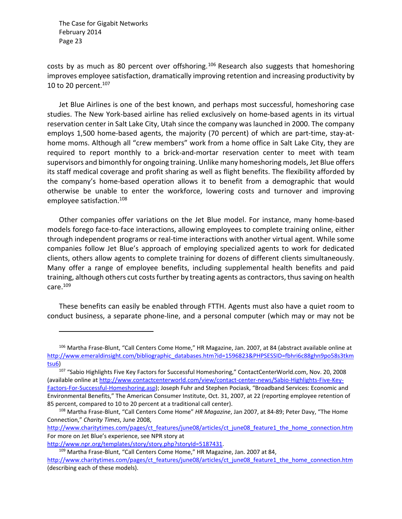costs by as much as 80 percent over offshoring.<sup>106</sup> Research also suggests that homeshoring improves employee satisfaction, dramatically improving retention and increasing productivity by 10 to 20 percent. $107$ 

Jet Blue Airlines is one of the best known, and perhaps most successful, homeshoring case studies. The New York‐based airline has relied exclusively on home‐based agents in its virtual reservation center in Salt Lake City, Utah since the company was launched in 2000. The company employs 1,500 home-based agents, the majority (70 percent) of which are part-time, stay-athome moms. Although all "crew members" work from a home office in Salt Lake City, they are required to report monthly to a brick-and-mortar reservation center to meet with team supervisors and bimonthly for ongoing training. Unlike many homeshoring models, Jet Blue offers its staff medical coverage and profit sharing as well as flight benefits. The flexibility afforded by the company's home‐based operation allows it to benefit from a demographic that would otherwise be unable to enter the workforce, lowering costs and turnover and improving employee satisfaction.<sup>108</sup>

Other companies offer variations on the Jet Blue model. For instance, many home‐based models forego face‐to‐face interactions, allowing employees to complete training online, either through independent programs or real‐time interactions with another virtual agent. While some companies follow Jet Blue's approach of employing specialized agents to work for dedicated clients, others allow agents to complete training for dozens of different clients simultaneously. Many offer a range of employee benefits, including supplemental health benefits and paid training, although others cut costs further by treating agents as contractors, thus saving on health care.109

These benefits can easily be enabled through FTTH. Agents must also have a quiet room to conduct business, a separate phone‐line, and a personal computer (which may or may not be

http://www.charitytimes.com/pages/ct\_features/june08/articles/ct\_june08\_feature1\_the\_home\_connection.htm For more on Jet Blue's experience, see NPR story at

http://www.npr.org/templates/story/story.php?storyId=5187431.

<sup>106</sup> Martha Frase‐Blunt, "Call Centers Come Home," HR Magazine, Jan. 2007, at 84 (abstract available online at http://www.emeraldinsight.com/bibliographic\_databases.htm?id=1596823&PHPSESSID=fbhri6c88ghn9po58s3tkm tsu6)

<sup>107 &</sup>quot;Sabio Highlights Five Key Factors for Successful Homeshoring," ContactCenterWorld.com, Nov. 20, 2008 (available online at http://www.contactcenterworld.com/view/contact‐center‐news/Sabio‐Highlights‐Five‐Key‐ Factors‐For‐Successful‐Homeshoring.asp); Joseph Fuhr and Stephen Pociask, "Broadband Services: Economic and Environmental Benefits," The American Consumer Institute, Oct. 31, 2007, at 22 (reporting employee retention of 85 percent, compared to 10 to 20 percent at a traditional call center).

<sup>108</sup> Martha Frase‐Blunt, "Call Centers Come Home" *HR Magazine*, Jan 2007, at 84‐89; Peter Davy, "The Home Connection," *Charity Times*, June 2008,

<sup>109</sup> Martha Frase-Blunt, "Call Centers Come Home," HR Magazine, Jan. 2007 at 84, http://www.charitytimes.com/pages/ct\_features/june08/articles/ct\_june08\_feature1\_the\_home\_connection.htm (describing each of these models).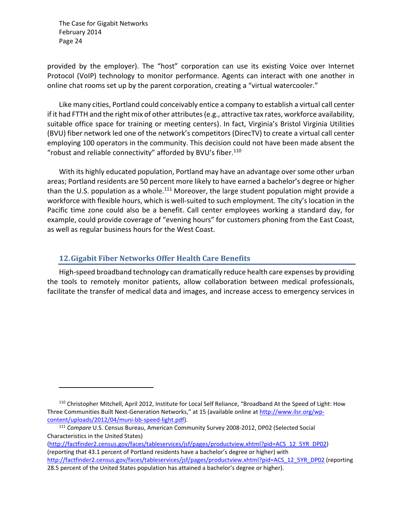provided by the employer). The "host" corporation can use its existing Voice over Internet Protocol (VoIP) technology to monitor performance. Agents can interact with one another in online chat rooms set up by the parent corporation, creating a "virtual watercooler."

Like many cities, Portland could conceivably entice a company to establish a virtual call center if it had FTTH and the right mix of other attributes(e.g., attractive tax rates, workforce availability, suitable office space for training or meeting centers). In fact, Virginia's Bristol Virginia Utilities (BVU) fiber network led one of the network's competitors (DirecTV) to create a virtual call center employing 100 operators in the community. This decision could not have been made absent the "robust and reliable connectivity" afforded by BVU's fiber.110

With its highly educated population, Portland may have an advantage oversome other urban areas; Portland residents are 50 percent more likely to have earned a bachelor's degree or higher than the U.S. population as a whole.<sup>111</sup> Moreover, the large student population might provide a workforce with flexible hours, which is well-suited to such employment. The city's location in the Pacific time zone could also be a benefit. Call center employees working a standard day, for example, could provide coverage of "evening hours" for customers phoning from the East Coast, as well as regular business hours for the West Coast.

#### **12.Gigabit Fiber Networks Offer Health Care Benefits**

High‐speed broadband technology can dramatically reduce health care expenses by providing the tools to remotely monitor patients, allow collaboration between medical professionals, facilitate the transfer of medical data and images, and increase access to emergency services in

<sup>110</sup> Christopher Mitchell, April 2012, Institute for Local Self Reliance, "Broadband At the Speed of Light: How Three Communities Built Next-Generation Networks," at 15 (available online at http://www.ilsr.org/wpcontent/uploads/2012/04/muni‐bb‐speed‐light.pdf).

<sup>111</sup> *Compare* U.S. Census Bureau, American Community Survey 2008‐2012, DP02 (Selected Social Characteristics in the United States)

<sup>(</sup>http://factfinder2.census.gov/faces/tableservices/jsf/pages/productview.xhtml?pid=ACS\_12\_5YR\_DP02) (reporting that 43.1 percent of Portland residents have a bachelor's degree or higher) with http://factfinder2.census.gov/faces/tableservices/jsf/pages/productview.xhtml?pid=ACS\_12\_5YR\_DP02 (reporting 28.5 percent of the United States population has attained a bachelor's degree or higher).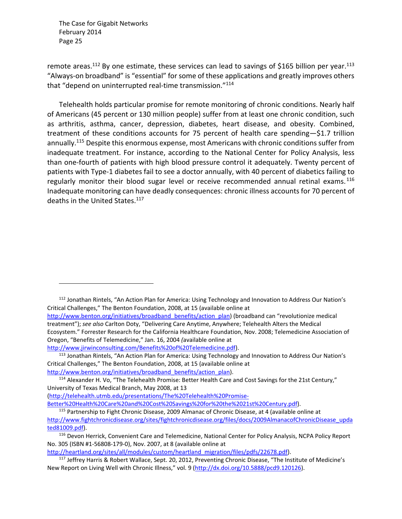remote areas.<sup>112</sup> By one estimate, these services can lead to savings of \$165 billion per year.<sup>113</sup> "Always‐on broadband" is "essential" for some of these applications and greatly improves others that "depend on uninterrupted real-time transmission."<sup>114</sup>

Telehealth holds particular promise for remote monitoring of chronic conditions. Nearly half of Americans (45 percent or 130 million people) suffer from at least one chronic condition, such as arthritis, asthma, cancer, depression, diabetes, heart disease, and obesity. Combined, treatment of these conditions accounts for 75 percent of health care spending—\$1.7 trillion annually.<sup>115</sup> Despite this enormous expense, most Americans with chronic conditions suffer from inadequate treatment. For instance, according to the National Center for Policy Analysis, less than one‐fourth of patients with high blood pressure control it adequately. Twenty percent of patients with Type-1 diabetes fail to see a doctor annually, with 40 percent of diabetics failing to regularly monitor their blood sugar level or receive recommended annual retinal exams.<sup>116</sup> Inadequate monitoring can have deadly consequences: chronic illness accounts for 70 percent of deaths in the United States.<sup>117</sup>

<sup>112</sup> Jonathan Rintels, "An Action Plan for America: Using Technology and Innovation to Address Our Nation's Critical Challenges," The Benton Foundation, 2008, at 15 (available online at http://www.benton.org/initiatives/broadband\_benefits/action\_plan) (broadband can "revolutionize medical treatment"); *see also* Carlton Doty, "Delivering Care Anytime, Anywhere; Telehealth Alters the Medical Ecosystem." Forrester Research for the California Healthcare Foundation, Nov. 2008; Telemedicine Association of Oregon, "Benefits of Telemedicine," Jan. 16, 2004 *(*available online at http://www.jirwinconsulting.com/Benefits%20of%20Telemedicine.pdf).

<sup>113</sup> Jonathan Rintels, "An Action Plan for America: Using Technology and Innovation to Address Our Nation's Critical Challenges," The Benton Foundation, 2008, at 15 (available online at http://www.benton.org/initiatives/broadband\_benefits/action\_plan).

(http://telehealth.utmb.edu/presentations/The%20Telehealth%20Promise‐

Better%20Health%20Care%20and%20Cost%20Savings%20for%20the%2021st%20Century.pdf).

http://heartland.org/sites/all/modules/custom/heartland\_migration/files/pdfs/22678.pdf).

<sup>&</sup>lt;sup>114</sup> Alexander H. Vo, "The Telehealth Promise: Better Health Care and Cost Savings for the 21st Century," University of Texas Medical Branch, May 2008, at 13

<sup>115</sup> Partnership to Fight Chronic Disease, 2009 Almanac of Chronic Disease, at 4 (available online at http://www.fightchronicdisease.org/sites/fightchronicdisease.org/files/docs/2009AlmanacofChronicDisease\_upda ted81009.pdf).

<sup>116</sup> Devon Herrick, Convenient Care and Telemedicine, National Center for Policy Analysis, NCPA Policy Report No. 305 (ISBN #1‐56808‐179‐0), Nov. 2007, at 8 (available online at

<sup>&</sup>lt;sup>117</sup> Jeffrey Harris & Robert Wallace, Sept. 20, 2012, Preventing Chronic Disease, "The Institute of Medicine's New Report on Living Well with Chronic Illness," vol. 9 (http://dx.doi.org/10.5888/pcd9.120126).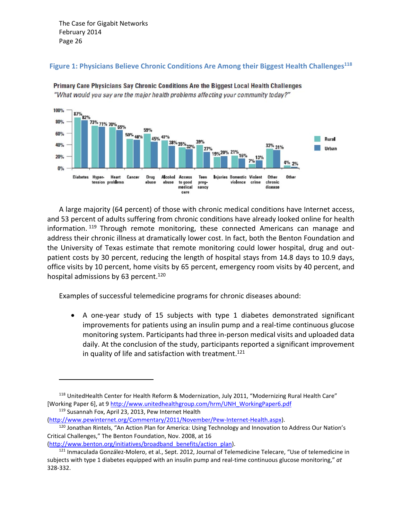

**Figure 1: Physicians Believe Chronic Conditions Are Among their Biggest Health Challenges118**

Primary Care Physicians Say Chronic Conditions Are the Biggest Local Health Challenges "What would you say are the major health problems affecting your community today?"

A large majority (64 percent) of those with chronic medical conditions have Internet access, and 53 percent of adults suffering from chronic conditions have already looked online for health information.<sup>119</sup> Through remote monitoring, these connected Americans can manage and address their chronic illness at dramatically lower cost. In fact, both the Benton Foundation and the University of Texas estimate that remote monitoring could lower hospital, drug and out‐ patient costs by 30 percent, reducing the length of hospital stays from 14.8 days to 10.9 days, office visits by 10 percent, home visits by 65 percent, emergency room visits by 40 percent, and hospital admissions by 63 percent.<sup>120</sup>

Examples of successful telemedicine programs for chronic diseases abound:

■ A one-year study of 15 subjects with type 1 diabetes demonstrated significant improvements for patients using an insulin pump and a real‐time continuous glucose monitoring system. Participants had three in‐person medical visits and uploaded data daily. At the conclusion of the study, participants reported a significant improvement in quality of life and satisfaction with treatment.<sup>121</sup>

(http://www.benton.org/initiatives/broadband benefits/action plan).

<sup>&</sup>lt;sup>118</sup> UnitedHealth Center for Health Reform & Modernization, July 2011, "Modernizing Rural Health Care" [Working Paper 6], at 9 http://www.unitedhealthgroup.com/hrm/UNH\_WorkingPaper6.pdf

<sup>119</sup> Susannah Fox, April 23, 2013, Pew Internet Health

<sup>(</sup>http://www.pewinternet.org/Commentary/2011/November/Pew‐Internet‐Health.aspx). <sup>120</sup> Jonathan Rintels, "An Action Plan for America: Using Technology and Innovation to Address Our Nation's Critical Challenges," The Benton Foundation, Nov. 2008, at 16

<sup>&</sup>lt;sup>121</sup> Inmaculada González-Molero, et al., Sept. 2012, Journal of Telemedicine Telecare, "Use of telemedicine in subjects with type 1 diabetes equipped with an insulin pump and real‐time continuous glucose monitoring," *at* 328‐332.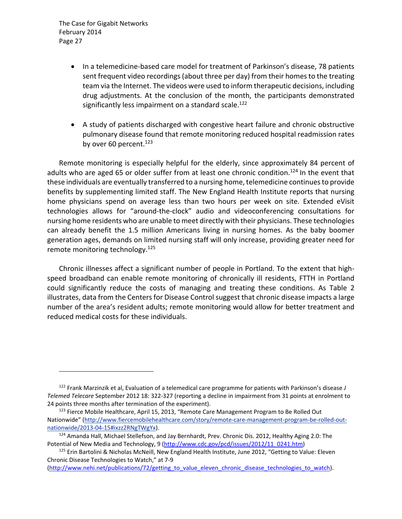- In a telemedicine-based care model for treatment of Parkinson's disease, 78 patients sent frequent video recordings (about three per day) from their homes to the treating team via the Internet. The videos were used to inform therapeutic decisions, including drug adjustments. At the conclusion of the month, the participants demonstrated significantly less impairment on a standard scale.<sup>122</sup>
- A study of patients discharged with congestive heart failure and chronic obstructive pulmonary disease found that remote monitoring reduced hospital readmission rates by over 60 percent. $123$

Remote monitoring is especially helpful for the elderly, since approximately 84 percent of adults who are aged 65 or older suffer from at least one chronic condition.<sup>124</sup> In the event that these individuals are eventually transferred to a nursing home, telemedicine continuesto provide benefits by supplementing limited staff. The New England Health Institute reports that nursing home physicians spend on average less than two hours per week on site. Extended eVisit technologies allows for "around‐the‐clock" audio and videoconferencing consultations for nursing home residents who are unable to meet directly with their physicians. These technologies can already benefit the 1.5 million Americans living in nursing homes. As the baby boomer generation ages, demands on limited nursing staff will only increase, providing greater need for remote monitoring technology.125

Chronic illnesses affect a significant number of people in Portland. To the extent that high‐ speed broadband can enable remote monitoring of chronically ill residents, FTTH in Portland could significantly reduce the costs of managing and treating these conditions. As Table 2 illustrates, data from the Centers for Disease Control suggest that chronic disease impacts a large number of the area's resident adults; remote monitoring would allow for better treatment and reduced medical costs for these individuals.

<sup>122</sup> Frank Marzinzik et al, Evaluation of a telemedical care programme for patients with Parkinson's disease *J Telemed Telecare* September 2012 18: 322‐327 (reporting a decline in impairment from 31 points at enrolment to 24 points three months after termination of the experiment).

<sup>&</sup>lt;sup>123</sup> Fierce Mobile Healthcare, April 15, 2013, "Remote Care Management Program to Be Rolled Out Nationwide" (http://www.fiercemobilehealthcare.com/story/remote-care-management-program-be-rolled-outnationwide/2013‐04‐15#ixzz2RNgTWgYx).

<sup>&</sup>lt;sup>124</sup> Amanda Hall, Michael Stellefson, and Jay Bernhardt, Prev. Chronic Dis. 2012, Healthy Aging 2.0: The Potential of New Media and Technology, 9 (http://www.cdc.gov/pcd/issues/2012/11\_0241.htm)

<sup>&</sup>lt;sup>125</sup> Erin Bartolini & Nicholas McNeill, New England Health Institute, June 2012, "Getting to Value: Eleven Chronic Disease Technologies to Watch," at 7‐9

<sup>(</sup>http://www.nehi.net/publications/72/getting\_to\_value\_eleven\_chronic\_disease\_technologies\_to\_watch).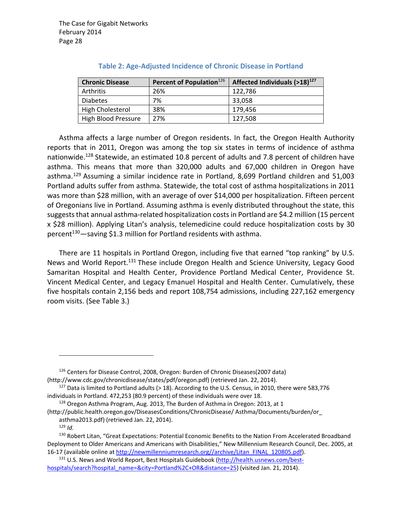| <b>Chronic Disease</b> | Percent of Population <sup>126</sup> | Affected Individuals $(>18)^{127}$ |
|------------------------|--------------------------------------|------------------------------------|
| Arthritis              | 26%                                  | 122.786                            |
| <b>Diabetes</b>        | 7%                                   | 33,058                             |
| High Cholesterol       | 38%                                  | 179.456                            |
| High Blood Pressure    | 27%                                  | 127.508                            |

#### **Table 2: Age‐Adjusted Incidence of Chronic Disease in Portland**

Asthma affects a large number of Oregon residents. In fact, the Oregon Health Authority reports that in 2011, Oregon was among the top six states in terms of incidence of asthma nationwide.<sup>128</sup> Statewide, an estimated 10.8 percent of adults and 7.8 percent of children have asthma. This means that more than 320,000 adults and 67,000 children in Oregon have asthma.<sup>129</sup> Assuming a similar incidence rate in Portland, 8,699 Portland children and 51,003 Portland adults suffer from asthma. Statewide, the total cost of asthma hospitalizations in 2011 was more than \$28 million, with an average of over \$14,000 per hospitalization. Fifteen percent of Oregonians live in Portland. Assuming asthma is evenly distributed throughout the state, this suggests that annual asthma-related hospitalization costs in Portland are \$4.2 million (15 percent x \$28 million). Applying Litan's analysis, telemedicine could reduce hospitalization costs by 30 percent<sup>130</sup>—saving \$1.3 million for Portland residents with asthma.

There are 11 hospitals in Portland Oregon, including five that earned "top ranking" by U.S. News and World Report.<sup>131</sup> These include Oregon Health and Science University, Legacy Good Samaritan Hospital and Health Center, Providence Portland Medical Center, Providence St. Vincent Medical Center, and Legacy Emanuel Hospital and Health Center. Cumulatively, these five hospitals contain 2,156 beds and report 108,754 admissions, including 227,162 emergency room visits. (See Table 3.)

<sup>126</sup> Centers for Disease Control, 2008, Oregon: Burden of Chronic Diseases(2007 data) (http://www.cdc.gov/chronicdisease/states/pdf/oregon.pdf) (retrieved Jan. 22, 2014).

<sup>&</sup>lt;sup>127</sup> Data is limited to Portland adults (> 18). According to the U.S. Census, in 2010, there were 583,776 individuals in Portland. 472,253 (80.9 percent) of these individuals were over 18.

<sup>128</sup> Oregon Asthma Program, Aug. 2013, The Burden of Asthma in Oregon: 2013, at 1

<sup>(</sup>http://public.health.oregon.gov/DiseasesConditions/ChronicDisease/ Asthma/Documents/burden/or\_ asthma2013.pdf) (retrieved Jan. 22, 2014).

<sup>129</sup> *Id.*

<sup>130</sup> Robert Litan, "Great Expectations: Potential Economic Benefits to the Nation From Accelerated Broadband Deployment to Older Americans and Americans with Disabilities," New Millennium Research Council, Dec. 2005, at 16‐17 (available online at http://newmillenniumresearch.org//archive/Litan\_FINAL\_120805.pdf).

<sup>131</sup> U.S. News and World Report, Best Hospitals Guidebook (http://health.usnews.com/besthospitals/search?hospital\_name=&city=Portland%2C+OR&distance=25) (visited Jan. 21, 2014).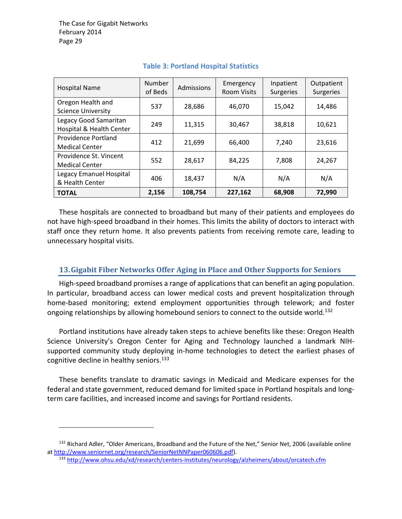| <b>Hospital Name</b>                                | <b>Number</b><br>of Beds | Admissions | Emergency<br><b>Room Visits</b> | Inpatient<br><b>Surgeries</b> | Outpatient<br><b>Surgeries</b> |
|-----------------------------------------------------|--------------------------|------------|---------------------------------|-------------------------------|--------------------------------|
| Oregon Health and<br><b>Science University</b>      | 537                      | 28,686     | 46,070                          | 15,042                        | 14,486                         |
| Legacy Good Samaritan<br>Hospital & Health Center   | 249                      | 11,315     | 30,467                          | 38,818                        | 10,621                         |
| <b>Providence Portland</b><br><b>Medical Center</b> | 412                      | 21,699     | 66,400                          | 7,240                         | 23,616                         |
| Providence St. Vincent<br><b>Medical Center</b>     | 552                      | 28,617     | 84,225                          | 7,808                         | 24,267                         |
| Legacy Emanuel Hospital<br>& Health Center          | 406                      | 18,437     | N/A                             | N/A                           | N/A                            |
| <b>TOTAL</b>                                        | 2,156                    | 108,754    | 227,162                         | 68,908                        | 72,990                         |

#### **Table 3: Portland Hospital Statistics**

These hospitals are connected to broadband but many of their patients and employees do not have high‐speed broadband in their homes. This limits the ability of doctors to interact with staff once they return home. It also prevents patients from receiving remote care, leading to unnecessary hospital visits.

#### **13.Gigabit Fiber Networks Offer Aging in Place and Other Supports for Seniors**

High‐speed broadband promises a range of applications that can benefit an aging population. In particular, broadband access can lower medical costs and prevent hospitalization through home-based monitoring; extend employment opportunities through telework; and foster ongoing relationships by allowing homebound seniors to connect to the outside world.<sup>132</sup>

Portland institutions have already taken steps to achieve benefits like these: Oregon Health Science University's Oregon Center for Aging and Technology launched a landmark NIH‐ supported community study deploying in‐home technologies to detect the earliest phases of cognitive decline in healthy seniors.<sup>133</sup>

These benefits translate to dramatic savings in Medicaid and Medicare expenses for the federal and state government, reduced demand for limited space in Portland hospitals and long‐ term care facilities, and increased income and savings for Portland residents.

<sup>&</sup>lt;sup>132</sup> Richard Adler, "Older Americans, Broadband and the Future of the Net," Senior Net, 2006 (available online at http://www.seniornet.org/research/SeniorNetNNPaper060606.pdf).

<sup>133</sup> http://www.ohsu.edu/xd/research/centers‐institutes/neurology/alzheimers/about/orcatech.cfm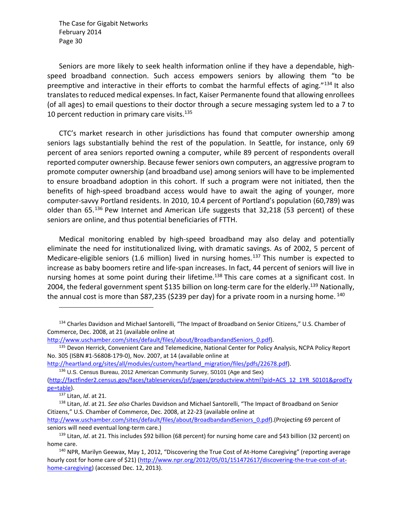Seniors are more likely to seek health information online if they have a dependable, high‐ speed broadband connection. Such access empowers seniors by allowing them "to be preemptive and interactive in their efforts to combat the harmful effects of aging." $134$  It also translates to reduced medical expenses. In fact, Kaiser Permanente found that allowing enrollees (of all ages) to email questions to their doctor through a secure messaging system led to a 7 to 10 percent reduction in primary care visits. $135$ 

CTC's market research in other jurisdictions has found that computer ownership among seniors lags substantially behind the rest of the population. In Seattle, for instance, only 69 percent of area seniors reported owning a computer, while 89 percent of respondents overall reported computer ownership. Because fewer seniors own computers, an aggressive program to promote computer ownership (and broadband use) among seniors will have to be implemented to ensure broadband adoption in this cohort. If such a program were not initiated, then the benefits of high-speed broadband access would have to await the aging of younger, more computer‐savvy Portland residents. In 2010, 10.4 percent of Portland's population (60,789) was older than 65.<sup>136</sup> Pew Internet and American Life suggests that 32,218 (53 percent) of these seniors are online, and thus potential beneficiaries of FTTH.

Medical monitoring enabled by high‐speed broadband may also delay and potentially eliminate the need for institutionalized living, with dramatic savings. As of 2002, 5 percent of Medicare-eligible seniors (1.6 million) lived in nursing homes.<sup>137</sup> This number is expected to increase as baby boomers retire and life‐span increases. In fact, 44 percent of seniors will live in nursing homes at some point during their lifetime.<sup>138</sup> This care comes at a significant cost. In 2004, the federal government spent \$135 billion on long-term care for the elderly.<sup>139</sup> Nationally, the annual cost is more than \$87,235 (\$239 per day) for a private room in a nursing home.  $^{140}$ 

<sup>&</sup>lt;sup>134</sup> Charles Davidson and Michael Santorelli, "The Impact of Broadband on Senior Citizens," U.S. Chamber of Commerce, Dec. 2008, at 21 (available online at

http://www.uschamber.com/sites/default/files/about/BroadbandandSeniors\_0.pdf).

<sup>&</sup>lt;sup>135</sup> Devon Herrick, Convenient Care and Telemedicine, National Center for Policy Analysis, NCPA Policy Report No. 305 (ISBN #1‐56808‐179‐0), Nov. 2007, at 14 (available online at

http://heartland.org/sites/all/modules/custom/heartland\_migration/files/pdfs/22678.pdf).

<sup>136</sup> U.S. Census Bureau, 2012 American Community Survey, S0101 (Age and Sex)

<sup>(</sup>http://factfinder2.census.gov/faces/tableservices/jsf/pages/productview.xhtml?pid=ACS\_12\_1YR\_S0101&prodTy pe=table).

<sup>137</sup> Litan, *Id*. at 21.

<sup>138</sup> Litan, *Id*. at 21. *See also* Charles Davidson and Michael Santorelli, "The Impact of Broadband on Senior Citizens," U.S. Chamber of Commerce, Dec. 2008, at 22‐23 (available online at

http://www.uschamber.com/sites/default/files/about/BroadbandandSeniors\_0.pdf).(Projecting 69 percent of seniors will need eventual long-term care.)

<sup>139</sup> Litan, *Id*. at 21. This includes \$92 billion (68 percent) for nursing home care and \$43 billion (32 percent) on home care.

<sup>&</sup>lt;sup>140</sup> NPR, Marilyn Geewax, May 1, 2012, "Discovering the True Cost of At-Home Caregiving" (reporting average hourly cost for home care of \$21) (http://www.npr.org/2012/05/01/151472617/discovering-the-true-cost-of-athome-caregiving) (accessed Dec. 12, 2013).